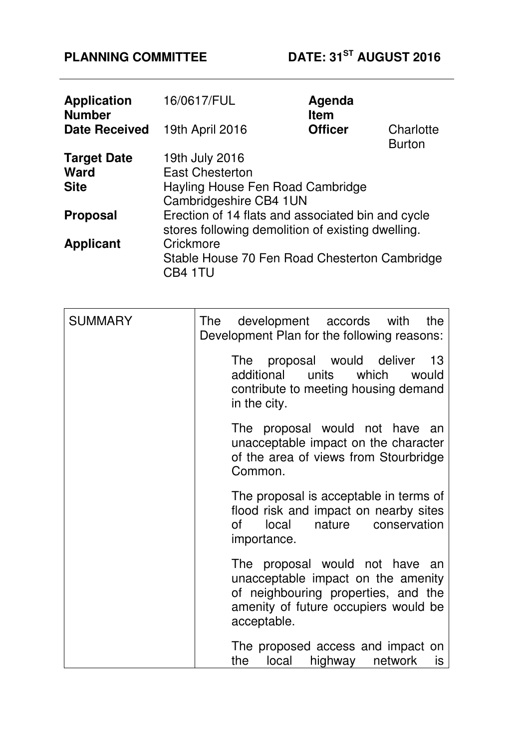| <b>Application</b><br><b>Number</b> | 16/0617/FUL                                              | Agenda<br><b>Item</b> |                            |
|-------------------------------------|----------------------------------------------------------|-----------------------|----------------------------|
| <b>Date Received</b>                | 19th April 2016                                          | <b>Officer</b>        | Charlotte<br><b>Burton</b> |
| <b>Target Date</b>                  | 19th July 2016                                           |                       |                            |
| <b>Ward</b>                         | <b>East Chesterton</b>                                   |                       |                            |
| <b>Site</b>                         | Hayling House Fen Road Cambridge                         |                       |                            |
|                                     | Cambridgeshire CB4 1UN                                   |                       |                            |
| <b>Proposal</b>                     | Erection of 14 flats and associated bin and cycle        |                       |                            |
|                                     | stores following demolition of existing dwelling.        |                       |                            |
| <b>Applicant</b>                    | Crickmore                                                |                       |                            |
|                                     | Stable House 70 Fen Road Chesterton Cambridge<br>CB4 1TU |                       |                            |

| <b>SUMMARY</b> | The development accords with<br>the<br>Development Plan for the following reasons:                                                                                 |
|----------------|--------------------------------------------------------------------------------------------------------------------------------------------------------------------|
|                | The proposal would deliver 13<br>additional units<br>which<br>would<br>contribute to meeting housing demand<br>in the city.                                        |
|                | The proposal would not have an<br>unacceptable impact on the character<br>of the area of views from Stourbridge<br>Common.                                         |
|                | The proposal is acceptable in terms of<br>flood risk and impact on nearby sites<br>local<br>nature<br>conservation<br>of<br>importance.                            |
|                | The proposal would not have an<br>unacceptable impact on the amenity<br>of neighbouring properties, and the<br>amenity of future occupiers would be<br>acceptable. |
|                | The proposed access and impact on<br>the local<br>highway<br>network<br>is                                                                                         |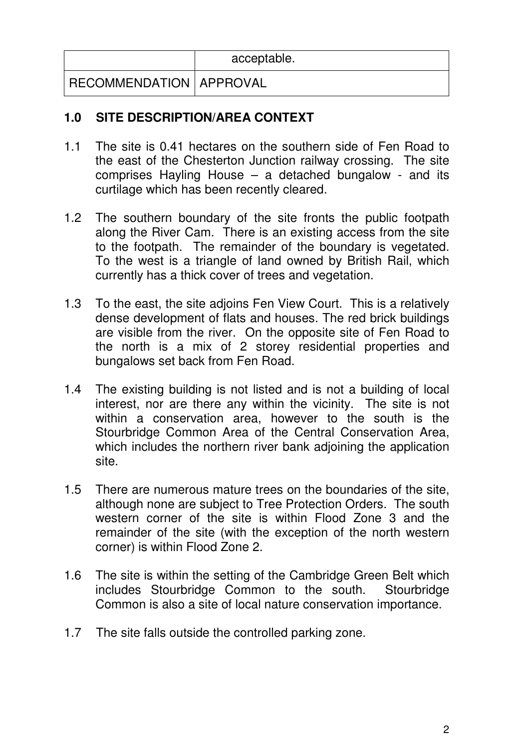|                           | acceptable. |
|---------------------------|-------------|
| RECOMMENDATION   APPROVAL |             |

# **1.0 SITE DESCRIPTION/AREA CONTEXT**

- 1.1 The site is 0.41 hectares on the southern side of Fen Road to the east of the Chesterton Junction railway crossing. The site comprises Hayling House – a detached bungalow - and its curtilage which has been recently cleared.
- 1.2 The southern boundary of the site fronts the public footpath along the River Cam. There is an existing access from the site to the footpath. The remainder of the boundary is vegetated. To the west is a triangle of land owned by British Rail, which currently has a thick cover of trees and vegetation.
- 1.3 To the east, the site adjoins Fen View Court. This is a relatively dense development of flats and houses. The red brick buildings are visible from the river. On the opposite site of Fen Road to the north is a mix of 2 storey residential properties and bungalows set back from Fen Road.
- 1.4 The existing building is not listed and is not a building of local interest, nor are there any within the vicinity. The site is not within a conservation area, however to the south is the Stourbridge Common Area of the Central Conservation Area, which includes the northern river bank adjoining the application site.
- 1.5 There are numerous mature trees on the boundaries of the site, although none are subject to Tree Protection Orders. The south western corner of the site is within Flood Zone 3 and the remainder of the site (with the exception of the north western corner) is within Flood Zone 2.
- 1.6 The site is within the setting of the Cambridge Green Belt which includes Stourbridge Common to the south. Stourbridge Common is also a site of local nature conservation importance.
- 1.7 The site falls outside the controlled parking zone.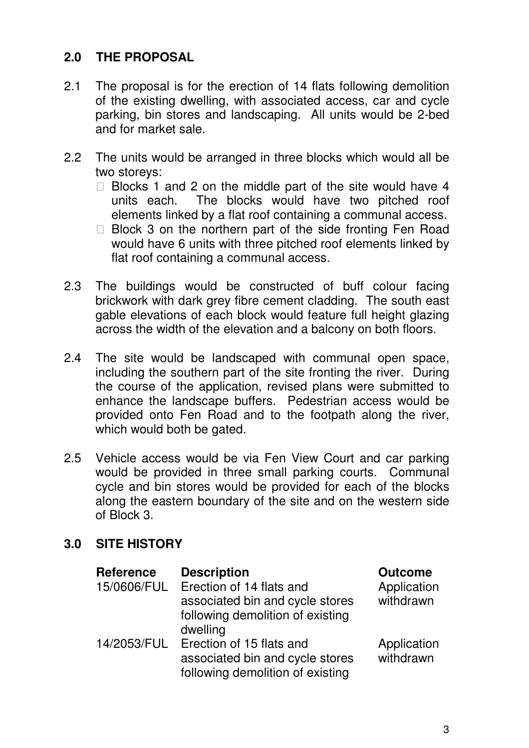# **2.0 THE PROPOSAL**

- 2.1 The proposal is for the erection of 14 flats following demolition of the existing dwelling, with associated access, car and cycle parking, bin stores and landscaping. All units would be 2-bed and for market sale.
- 2.2 The units would be arranged in three blocks which would all be two storeys:

 Blocks 1 and 2 on the middle part of the site would have 4 units each. The blocks would have two pitched roof elements linked by a flat roof containing a communal access. Block 3 on the northern part of the side fronting Fen Road would have 6 units with three pitched roof elements linked by flat roof containing a communal access.

- 2.3 The buildings would be constructed of buff colour facing brickwork with dark grey fibre cement cladding. The south east gable elevations of each block would feature full height glazing across the width of the elevation and a balcony on both floors.
- 2.4 The site would be landscaped with communal open space, including the southern part of the site fronting the river. During the course of the application, revised plans were submitted to enhance the landscape buffers. Pedestrian access would be provided onto Fen Road and to the footpath along the river, which would both be gated.
- 2.5 Vehicle access would be via Fen View Court and car parking would be provided in three small parking courts. Communal cycle and bin stores would be provided for each of the blocks along the eastern boundary of the site and on the western side of Block 3.

# **3.0 SITE HISTORY**

| <b>Reference</b> | <b>Description</b>                                                                              | <b>Outcome</b>           |
|------------------|-------------------------------------------------------------------------------------------------|--------------------------|
| 15/0606/FUL      | Erection of 14 flats and<br>associated bin and cycle stores                                     | Application<br>withdrawn |
|                  | following demolition of existing<br>dwelling                                                    |                          |
| 14/2053/FUL      | Erection of 15 flats and<br>associated bin and cycle stores<br>following demolition of existing | Application<br>withdrawn |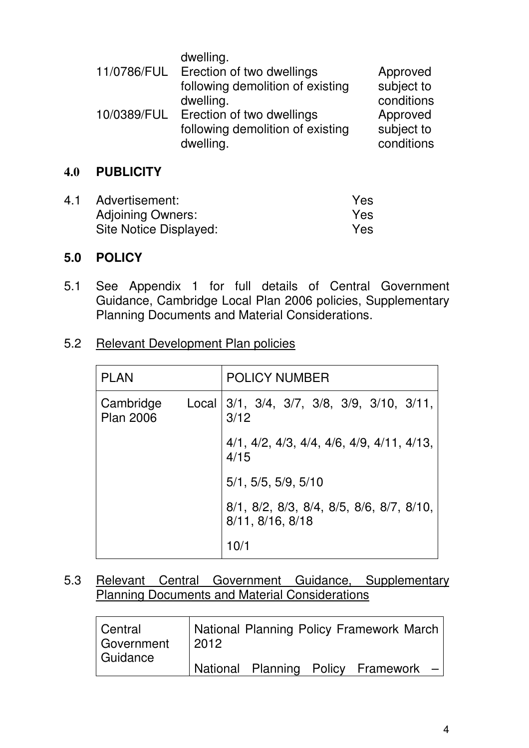|             | dwelling.                        |            |
|-------------|----------------------------------|------------|
| 11/0786/FUL | Erection of two dwellings        | Approved   |
|             | following demolition of existing | subject to |
|             | dwelling.                        | conditions |
| 10/0389/FUL | Erection of two dwellings        | Approved   |
|             | following demolition of existing | subject to |
|             | dwelling.                        | conditions |

## **4.0 PUBLICITY**

| 4.1 Advertisement:       | Yes. |
|--------------------------|------|
| <b>Adjoining Owners:</b> | Yes  |
| Site Notice Displayed:   | Yes  |

#### **5.0 POLICY**

- 5.1 See Appendix 1 for full details of Central Government Guidance, Cambridge Local Plan 2006 policies, Supplementary Planning Documents and Material Considerations.
- 5.2 Relevant Development Plan policies

| <b>PLAN</b>                   |       | <b>POLICY NUMBER</b>                                         |
|-------------------------------|-------|--------------------------------------------------------------|
| Cambridge<br><b>Plan 2006</b> | Local | $\vert 3/1, 3/4, 3/7, 3/8, 3/9, 3/10, 3/11,$<br>3/12         |
|                               |       | $4/1, 4/2, 4/3, 4/4, 4/6, 4/9, 4/11, 4/13,$<br>4/15          |
|                               |       | 5/1, 5/5, 5/9, 5/10                                          |
|                               |       | 8/1, 8/2, 8/3, 8/4, 8/5, 8/6, 8/7, 8/10,<br>8/11, 8/16, 8/18 |
|                               |       |                                                              |

5.3 Relevant Central Government Guidance, Supplementary Planning Documents and Material Considerations

| Central<br>Government | $\sqrt{2012}$ |  | National Planning Policy Framework March |  |
|-----------------------|---------------|--|------------------------------------------|--|
| Guidance              |               |  | National Planning Policy Framework -     |  |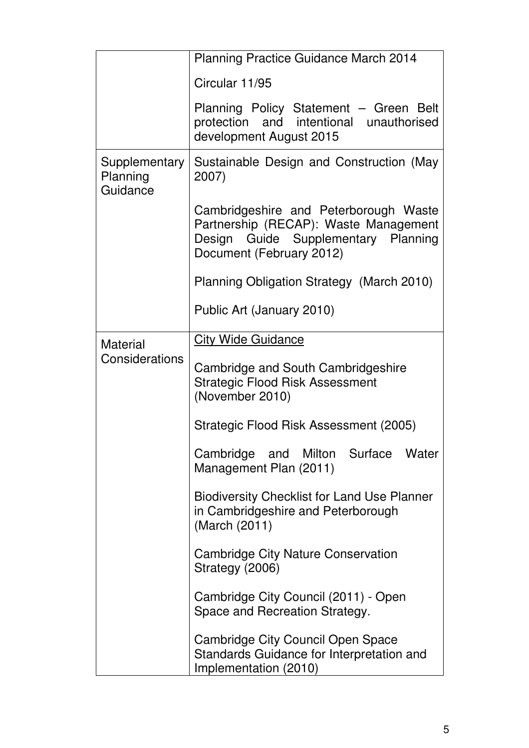|                                       | <b>Planning Practice Guidance March 2014</b>                                                                                                      |  |
|---------------------------------------|---------------------------------------------------------------------------------------------------------------------------------------------------|--|
|                                       | Circular 11/95                                                                                                                                    |  |
|                                       | Planning Policy Statement - Green Belt<br>and intentional unauthorised<br>protection<br>development August 2015                                   |  |
| Supplementary<br>Planning<br>Guidance | Sustainable Design and Construction (May<br>2007)                                                                                                 |  |
|                                       | Cambridgeshire and Peterborough Waste<br>Partnership (RECAP): Waste Management<br>Design Guide Supplementary Planning<br>Document (February 2012) |  |
|                                       | Planning Obligation Strategy (March 2010)                                                                                                         |  |
|                                       | Public Art (January 2010)                                                                                                                         |  |
| <b>Material</b>                       | <b>City Wide Guidance</b>                                                                                                                         |  |
| Considerations                        | Cambridge and South Cambridgeshire<br><b>Strategic Flood Risk Assessment</b><br>(November 2010)                                                   |  |
|                                       | Strategic Flood Risk Assessment (2005)                                                                                                            |  |
|                                       | Cambridge and Milton Surface<br>Water<br>Management Plan (2011)                                                                                   |  |
|                                       | <b>Biodiversity Checklist for Land Use Planner</b><br>in Cambridgeshire and Peterborough<br>(March (2011)                                         |  |
|                                       | Cambridge City Nature Conservation<br>Strategy (2006)                                                                                             |  |
|                                       | Cambridge City Council (2011) - Open<br>Space and Recreation Strategy.                                                                            |  |
|                                       | Cambridge City Council Open Space<br>Standards Guidance for Interpretation and<br>Implementation (2010)                                           |  |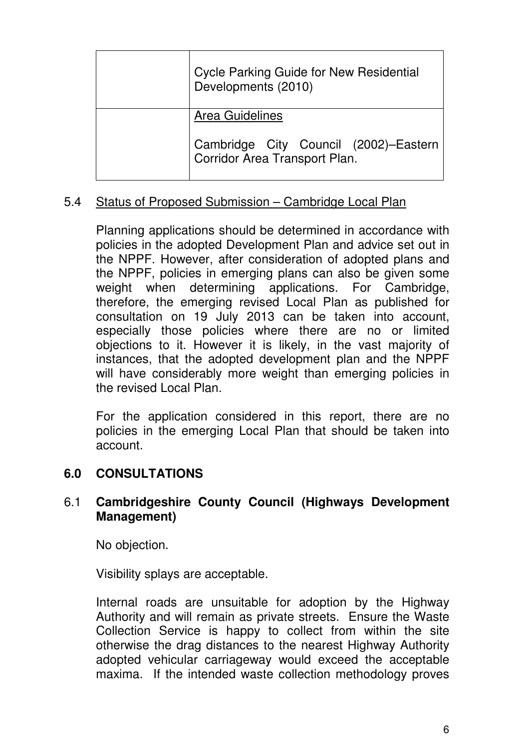| <b>Cycle Parking Guide for New Residential</b><br>Developments (2010)  |
|------------------------------------------------------------------------|
| <b>Area Guidelines</b>                                                 |
| Cambridge City Council (2002)–Eastern<br>Corridor Area Transport Plan. |

# 5.4 Status of Proposed Submission – Cambridge Local Plan

Planning applications should be determined in accordance with policies in the adopted Development Plan and advice set out in the NPPF. However, after consideration of adopted plans and the NPPF, policies in emerging plans can also be given some weight when determining applications. For Cambridge, therefore, the emerging revised Local Plan as published for consultation on 19 July 2013 can be taken into account, especially those policies where there are no or limited objections to it. However it is likely, in the vast majority of instances, that the adopted development plan and the NPPF will have considerably more weight than emerging policies in the revised Local Plan.

For the application considered in this report, there are no policies in the emerging Local Plan that should be taken into account.

# **6.0 CONSULTATIONS**

# 6.1 **Cambridgeshire County Council (Highways Development Management)**

No objection.

Visibility splays are acceptable.

Internal roads are unsuitable for adoption by the Highway Authority and will remain as private streets. Ensure the Waste Collection Service is happy to collect from within the site otherwise the drag distances to the nearest Highway Authority adopted vehicular carriageway would exceed the acceptable maxima. If the intended waste collection methodology proves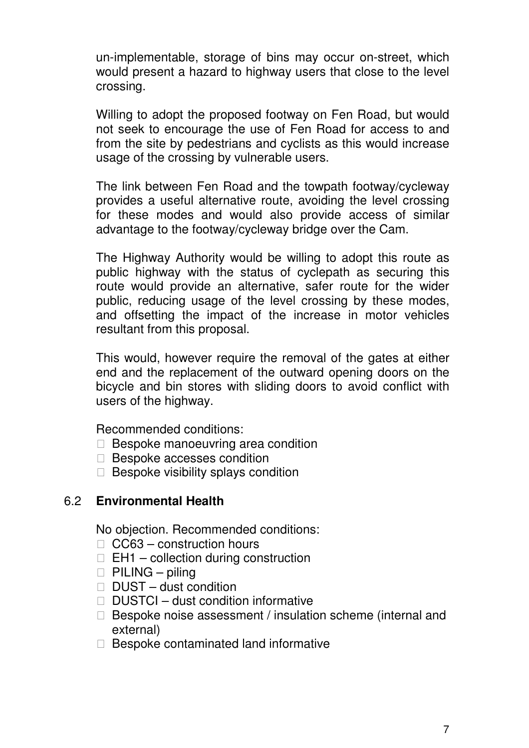un-implementable, storage of bins may occur on-street, which would present a hazard to highway users that close to the level crossing.

Willing to adopt the proposed footway on Fen Road, but would not seek to encourage the use of Fen Road for access to and from the site by pedestrians and cyclists as this would increase usage of the crossing by vulnerable users.

The link between Fen Road and the towpath footway/cycleway provides a useful alternative route, avoiding the level crossing for these modes and would also provide access of similar advantage to the footway/cycleway bridge over the Cam.

The Highway Authority would be willing to adopt this route as public highway with the status of cyclepath as securing this route would provide an alternative, safer route for the wider public, reducing usage of the level crossing by these modes, and offsetting the impact of the increase in motor vehicles resultant from this proposal.

This would, however require the removal of the gates at either end and the replacement of the outward opening doors on the bicycle and bin stores with sliding doors to avoid conflict with users of the highway.

Recommended conditions:

 Bespoke manoeuvring area condition Bespoke accesses condition Bespoke visibility splays condition

#### 6.2 **Environmental Health**

No objection. Recommended conditions: CC63 – construction hours EH1 – collection during construction PILING – piling DUST – dust condition DUSTCI – dust condition informative Bespoke noise assessment / insulation scheme (internal and external) Bespoke contaminated land informative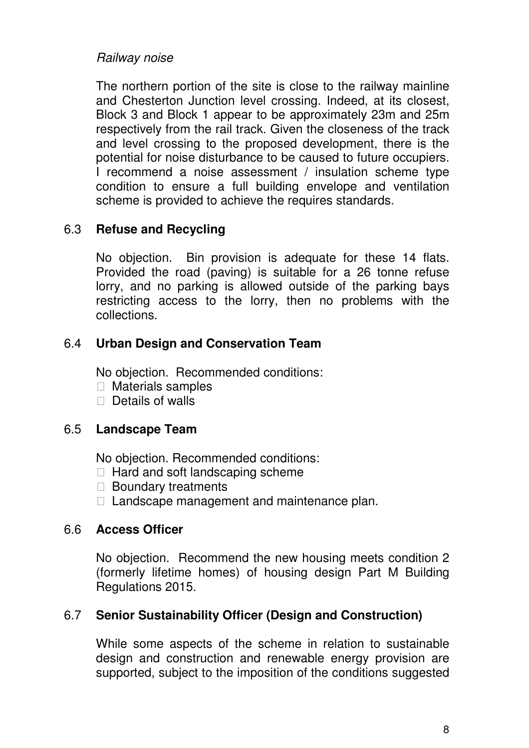# Railway noise

The northern portion of the site is close to the railway mainline and Chesterton Junction level crossing. Indeed, at its closest, Block 3 and Block 1 appear to be approximately 23m and 25m respectively from the rail track. Given the closeness of the track and level crossing to the proposed development, there is the potential for noise disturbance to be caused to future occupiers. I recommend a noise assessment / insulation scheme type condition to ensure a full building envelope and ventilation scheme is provided to achieve the requires standards.

# 6.3 **Refuse and Recycling**

No objection. Bin provision is adequate for these 14 flats. Provided the road (paving) is suitable for a 26 tonne refuse lorry, and no parking is allowed outside of the parking bays restricting access to the lorry, then no problems with the collections.

# 6.4 **Urban Design and Conservation Team**

No objection. Recommended conditions: Materials samples Details of walls

# 6.5 **Landscape Team**

No objection. Recommended conditions: Hard and soft landscaping scheme Boundary treatments Landscape management and maintenance plan.

# 6.6 **Access Officer**

No objection. Recommend the new housing meets condition 2 (formerly lifetime homes) of housing design Part M Building Regulations 2015.

# 6.7 **Senior Sustainability Officer (Design and Construction)**

While some aspects of the scheme in relation to sustainable design and construction and renewable energy provision are supported, subject to the imposition of the conditions suggested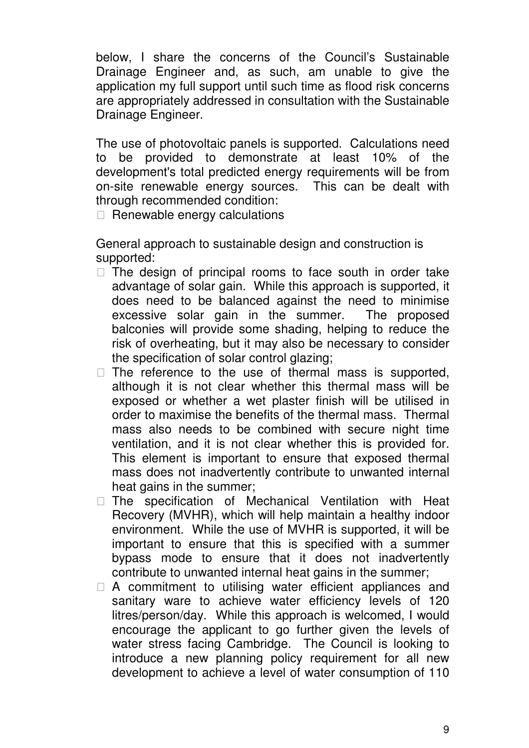below, I share the concerns of the Council's Sustainable Drainage Engineer and, as such, am unable to give the application my full support until such time as flood risk concerns are appropriately addressed in consultation with the Sustainable Drainage Engineer.

The use of photovoltaic panels is supported. Calculations need to be provided to demonstrate at least 10% of the development's total predicted energy requirements will be from on-site renewable energy sources. This can be dealt with through recommended condition:

Renewable energy calculations

General approach to sustainable design and construction is supported:

 The design of principal rooms to face south in order take advantage of solar gain. While this approach is supported, it does need to be balanced against the need to minimise excessive solar gain in the summer. The proposed balconies will provide some shading, helping to reduce the risk of overheating, but it may also be necessary to consider the specification of solar control glazing;

 The reference to the use of thermal mass is supported, although it is not clear whether this thermal mass will be exposed or whether a wet plaster finish will be utilised in order to maximise the benefits of the thermal mass. Thermal mass also needs to be combined with secure night time ventilation, and it is not clear whether this is provided for. This element is important to ensure that exposed thermal mass does not inadvertently contribute to unwanted internal heat gains in the summer;

 The specification of Mechanical Ventilation with Heat Recovery (MVHR), which will help maintain a healthy indoor environment. While the use of MVHR is supported, it will be important to ensure that this is specified with a summer bypass mode to ensure that it does not inadvertently contribute to unwanted internal heat gains in the summer;

 A commitment to utilising water efficient appliances and sanitary ware to achieve water efficiency levels of 120 litres/person/day. While this approach is welcomed, I would encourage the applicant to go further given the levels of water stress facing Cambridge. The Council is looking to introduce a new planning policy requirement for all new development to achieve a level of water consumption of 110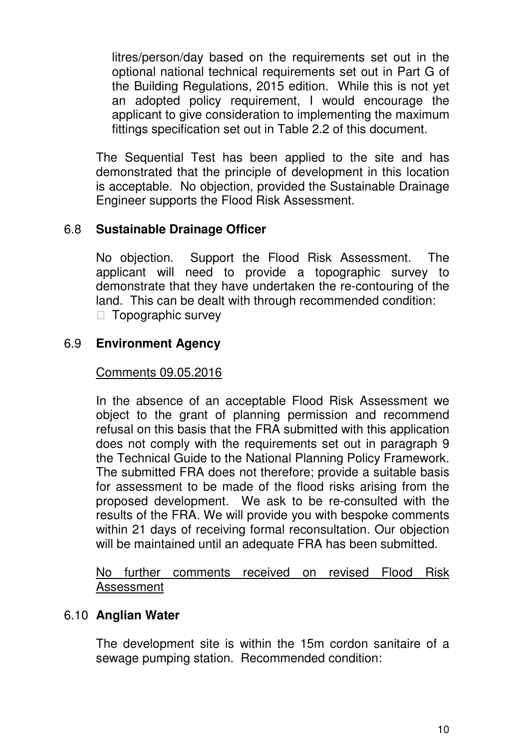litres/person/day based on the requirements set out in the optional national technical requirements set out in Part G of the Building Regulations, 2015 edition. While this is not yet an adopted policy requirement, I would encourage the applicant to give consideration to implementing the maximum fittings specification set out in Table 2.2 of this document.

The Sequential Test has been applied to the site and has demonstrated that the principle of development in this location is acceptable. No objection, provided the Sustainable Drainage Engineer supports the Flood Risk Assessment.

# 6.8 **Sustainable Drainage Officer**

No objection. Support the Flood Risk Assessment. The applicant will need to provide a topographic survey to demonstrate that they have undertaken the re-contouring of the land. This can be dealt with through recommended condition: Topographic survey

## 6.9 **Environment Agency**

#### Comments 09.05.2016

In the absence of an acceptable Flood Risk Assessment we object to the grant of planning permission and recommend refusal on this basis that the FRA submitted with this application does not comply with the requirements set out in paragraph 9 the Technical Guide to the National Planning Policy Framework. The submitted FRA does not therefore; provide a suitable basis for assessment to be made of the flood risks arising from the proposed development. We ask to be re-consulted with the results of the FRA. We will provide you with bespoke comments within 21 days of receiving formal reconsultation. Our objection will be maintained until an adequate FRA has been submitted.

No further comments received on revised Flood Risk Assessment

# 6.10 **Anglian Water**

The development site is within the 15m cordon sanitaire of a sewage pumping station. Recommended condition: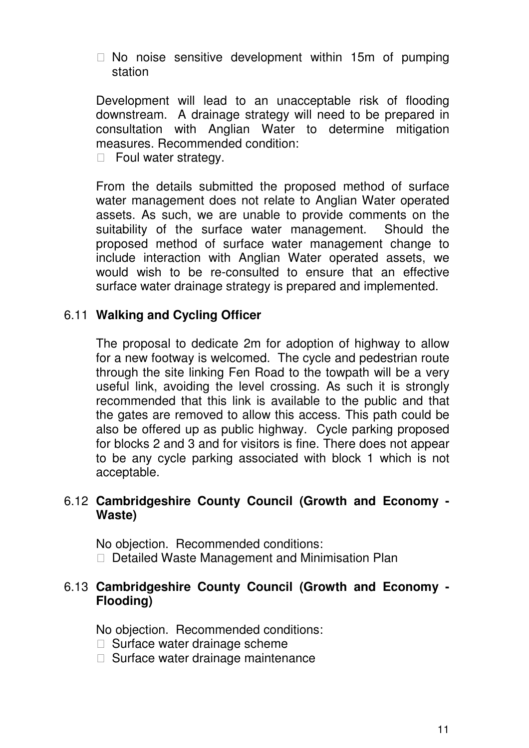No noise sensitive development within 15m of pumping station

Development will lead to an unacceptable risk of flooding downstream. A drainage strategy will need to be prepared in consultation with Anglian Water to determine mitigation measures. Recommended condition:

Foul water strategy.

From the details submitted the proposed method of surface water management does not relate to Anglian Water operated assets. As such, we are unable to provide comments on the suitability of the surface water management. Should the proposed method of surface water management change to include interaction with Anglian Water operated assets, we would wish to be re-consulted to ensure that an effective surface water drainage strategy is prepared and implemented.

# 6.11 **Walking and Cycling Officer**

The proposal to dedicate 2m for adoption of highway to allow for a new footway is welcomed. The cycle and pedestrian route through the site linking Fen Road to the towpath will be a very useful link, avoiding the level crossing. As such it is strongly recommended that this link is available to the public and that the gates are removed to allow this access. This path could be also be offered up as public highway. Cycle parking proposed for blocks 2 and 3 and for visitors is fine. There does not appear to be any cycle parking associated with block 1 which is not acceptable.

# 6.12 **Cambridgeshire County Council (Growth and Economy - Waste)**

No objection. Recommended conditions: Detailed Waste Management and Minimisation Plan

# 6.13 **Cambridgeshire County Council (Growth and Economy - Flooding)**

No objection. Recommended conditions: Surface water drainage scheme Surface water drainage maintenance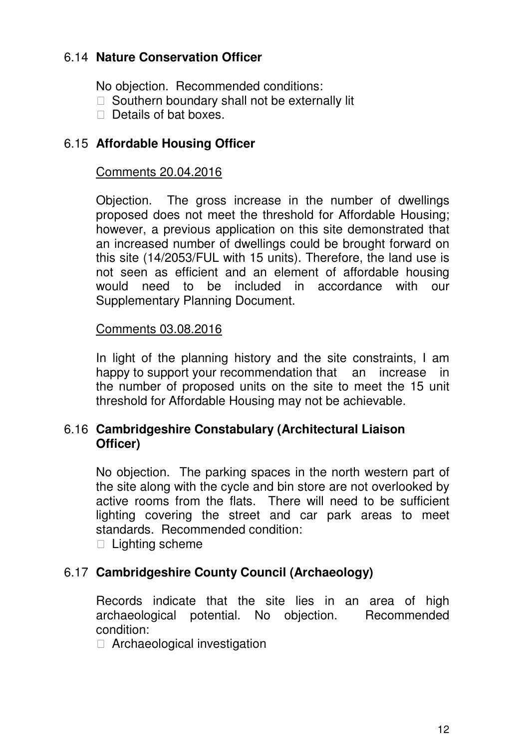# 6.14 **Nature Conservation Officer**

No objection. Recommended conditions: Southern boundary shall not be externally lit Details of bat boxes.

# 6.15 **Affordable Housing Officer**

#### Comments 20.04.2016

Objection. The gross increase in the number of dwellings proposed does not meet the threshold for Affordable Housing; however, a previous application on this site demonstrated that an increased number of dwellings could be brought forward on this site (14/2053/FUL with 15 units). Therefore, the land use is not seen as efficient and an element of affordable housing would need to be included in accordance with our Supplementary Planning Document.

#### Comments 03.08.2016

In light of the planning history and the site constraints, I am happy to support your recommendation that an increase in the number of proposed units on the site to meet the 15 unit threshold for Affordable Housing may not be achievable.

# 6.16 **Cambridgeshire Constabulary (Architectural Liaison Officer)**

No objection. The parking spaces in the north western part of the site along with the cycle and bin store are not overlooked by active rooms from the flats. There will need to be sufficient lighting covering the street and car park areas to meet standards. Recommended condition:

Lighting scheme

# 6.17 **Cambridgeshire County Council (Archaeology)**

Records indicate that the site lies in an area of high archaeological potential. No objection. Recommended condition:

Archaeological investigation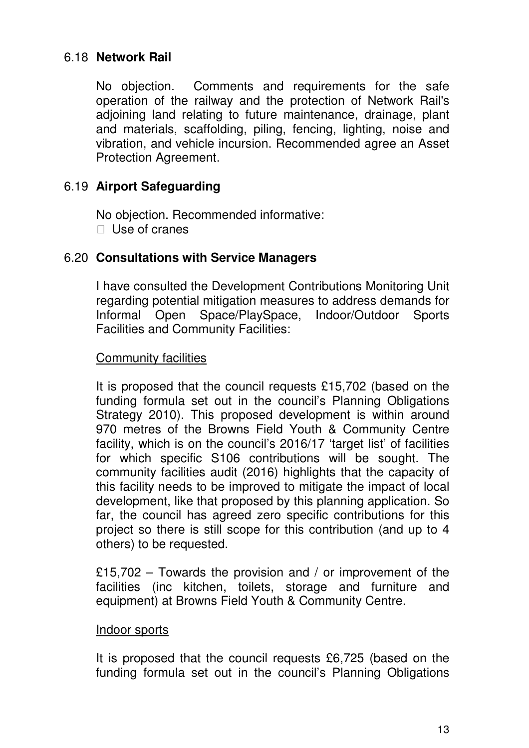# 6.18 **Network Rail**

No objection. Comments and requirements for the safe operation of the railway and the protection of Network Rail's adjoining land relating to future maintenance, drainage, plant and materials, scaffolding, piling, fencing, lighting, noise and vibration, and vehicle incursion. Recommended agree an Asset Protection Agreement.

# 6.19 **Airport Safeguarding**

No objection. Recommended informative: Use of cranes

# 6.20 **Consultations with Service Managers**

I have consulted the Development Contributions Monitoring Unit regarding potential mitigation measures to address demands for Informal Open Space/PlaySpace, Indoor/Outdoor Sports Facilities and Community Facilities:

## Community facilities

It is proposed that the council requests £15,702 (based on the funding formula set out in the council's Planning Obligations Strategy 2010). This proposed development is within around 970 metres of the Browns Field Youth & Community Centre facility, which is on the council's 2016/17 'target list' of facilities for which specific S106 contributions will be sought. The community facilities audit (2016) highlights that the capacity of this facility needs to be improved to mitigate the impact of local development, like that proposed by this planning application. So far, the council has agreed zero specific contributions for this project so there is still scope for this contribution (and up to 4 others) to be requested.

£15,702 – Towards the provision and / or improvement of the facilities (inc kitchen, toilets, storage and furniture and equipment) at Browns Field Youth & Community Centre.

#### Indoor sports

It is proposed that the council requests £6,725 (based on the funding formula set out in the council's Planning Obligations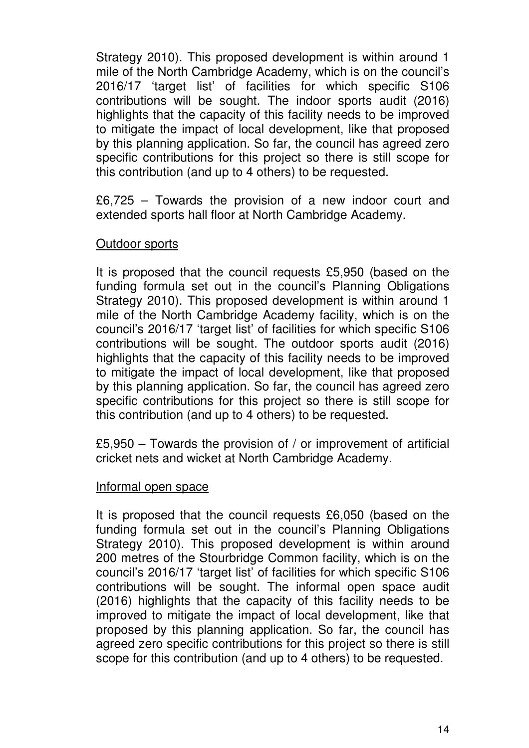Strategy 2010). This proposed development is within around 1 mile of the North Cambridge Academy, which is on the council's 2016/17 'target list' of facilities for which specific S106 contributions will be sought. The indoor sports audit (2016) highlights that the capacity of this facility needs to be improved to mitigate the impact of local development, like that proposed by this planning application. So far, the council has agreed zero specific contributions for this project so there is still scope for this contribution (and up to 4 others) to be requested.

£6,725 – Towards the provision of a new indoor court and extended sports hall floor at North Cambridge Academy.

## Outdoor sports

It is proposed that the council requests £5,950 (based on the funding formula set out in the council's Planning Obligations Strategy 2010). This proposed development is within around 1 mile of the North Cambridge Academy facility, which is on the council's 2016/17 'target list' of facilities for which specific S106 contributions will be sought. The outdoor sports audit (2016) highlights that the capacity of this facility needs to be improved to mitigate the impact of local development, like that proposed by this planning application. So far, the council has agreed zero specific contributions for this project so there is still scope for this contribution (and up to 4 others) to be requested.

£5,950 – Towards the provision of / or improvement of artificial cricket nets and wicket at North Cambridge Academy.

#### Informal open space

It is proposed that the council requests £6,050 (based on the funding formula set out in the council's Planning Obligations Strategy 2010). This proposed development is within around 200 metres of the Stourbridge Common facility, which is on the council's 2016/17 'target list' of facilities for which specific S106 contributions will be sought. The informal open space audit (2016) highlights that the capacity of this facility needs to be improved to mitigate the impact of local development, like that proposed by this planning application. So far, the council has agreed zero specific contributions for this project so there is still scope for this contribution (and up to 4 others) to be requested.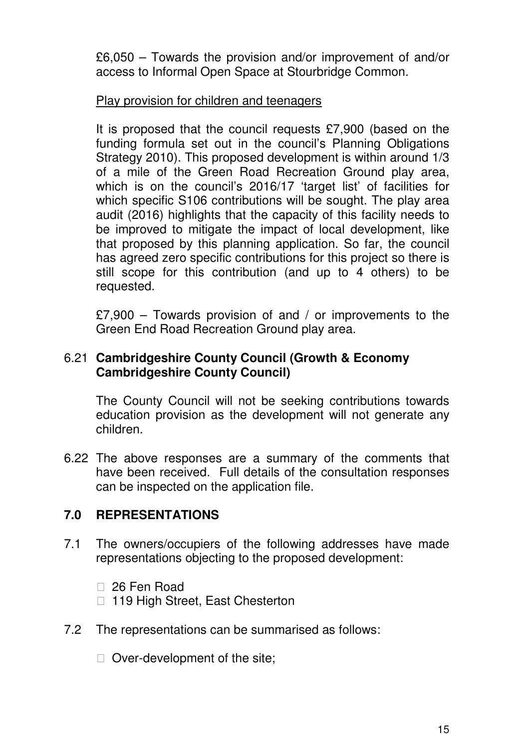£6,050 – Towards the provision and/or improvement of and/or access to Informal Open Space at Stourbridge Common.

# Play provision for children and teenagers

It is proposed that the council requests £7,900 (based on the funding formula set out in the council's Planning Obligations Strategy 2010). This proposed development is within around 1/3 of a mile of the Green Road Recreation Ground play area, which is on the council's 2016/17 'target list' of facilities for which specific S106 contributions will be sought. The play area audit (2016) highlights that the capacity of this facility needs to be improved to mitigate the impact of local development, like that proposed by this planning application. So far, the council has agreed zero specific contributions for this project so there is still scope for this contribution (and up to 4 others) to be requested.

£7,900 – Towards provision of and / or improvements to the Green End Road Recreation Ground play area.

# 6.21 **Cambridgeshire County Council (Growth & Economy Cambridgeshire County Council)**

The County Council will not be seeking contributions towards education provision as the development will not generate any children.

6.22 The above responses are a summary of the comments that have been received. Full details of the consultation responses can be inspected on the application file.

# **7.0 REPRESENTATIONS**

7.1 The owners/occupiers of the following addresses have made representations objecting to the proposed development:

> 26 Fen Road 119 High Street, East Chesterton

7.2 The representations can be summarised as follows:

Over-development of the site;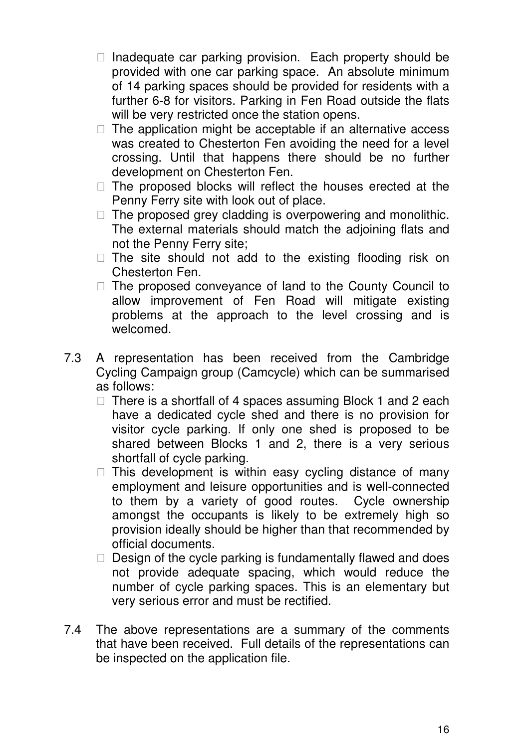Inadequate car parking provision. Each property should be provided with one car parking space. An absolute minimum of 14 parking spaces should be provided for residents with a further 6-8 for visitors. Parking in Fen Road outside the flats will be very restricted once the station opens.

 The application might be acceptable if an alternative access was created to Chesterton Fen avoiding the need for a level crossing. Until that happens there should be no further development on Chesterton Fen.

 The proposed blocks will reflect the houses erected at the Penny Ferry site with look out of place.

 The proposed grey cladding is overpowering and monolithic. The external materials should match the adjoining flats and not the Penny Ferry site;

 The site should not add to the existing flooding risk on Chesterton Fen.

 The proposed conveyance of land to the County Council to allow improvement of Fen Road will mitigate existing problems at the approach to the level crossing and is welcomed.

7.3 A representation has been received from the Cambridge Cycling Campaign group (Camcycle) which can be summarised as follows:

 There is a shortfall of 4 spaces assuming Block 1 and 2 each have a dedicated cycle shed and there is no provision for visitor cycle parking. If only one shed is proposed to be shared between Blocks 1 and 2, there is a very serious shortfall of cycle parking.

 This development is within easy cycling distance of many employment and leisure opportunities and is well-connected to them by a variety of good routes. Cycle ownership amongst the occupants is likely to be extremely high so provision ideally should be higher than that recommended by official documents.

Design of the cycle parking is fundamentally flawed and does not provide adequate spacing, which would reduce the number of cycle parking spaces. This is an elementary but very serious error and must be rectified.

7.4 The above representations are a summary of the comments that have been received. Full details of the representations can be inspected on the application file.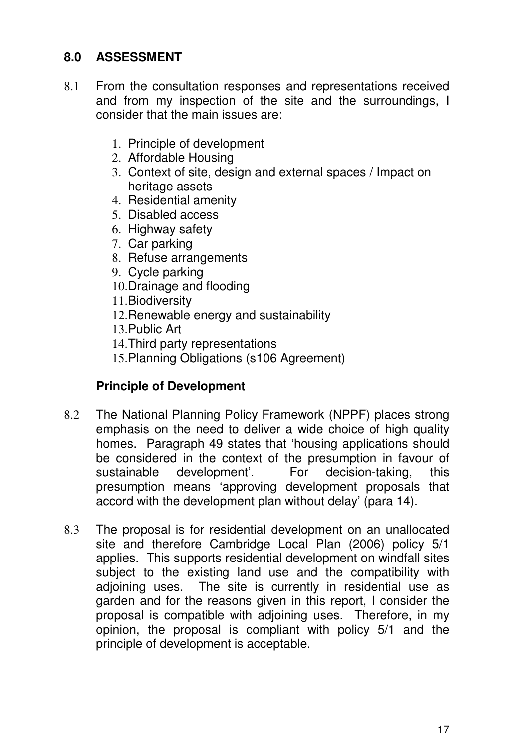# **8.0 ASSESSMENT**

- 8.1 From the consultation responses and representations received and from my inspection of the site and the surroundings, I consider that the main issues are:
	- 1. Principle of development
	- 2. Affordable Housing
	- 3. Context of site, design and external spaces / Impact on heritage assets
	- 4. Residential amenity
	- 5. Disabled access
	- 6. Highway safety
	- 7. Car parking
	- 8. Refuse arrangements
	- 9. Cycle parking
	- 10. Drainage and flooding
	- 11. Biodiversity
	- 12. Renewable energy and sustainability
	- 13. Public Art
	- 14. Third party representations
	- 15. Planning Obligations (s106 Agreement)

# **Principle of Development**

- 8.2 The National Planning Policy Framework (NPPF) places strong emphasis on the need to deliver a wide choice of high quality homes. Paragraph 49 states that 'housing applications should be considered in the context of the presumption in favour of sustainable development'. For decision-taking, this presumption means 'approving development proposals that accord with the development plan without delay' (para 14).
- 8.3 The proposal is for residential development on an unallocated site and therefore Cambridge Local Plan (2006) policy 5/1 applies. This supports residential development on windfall sites subject to the existing land use and the compatibility with adjoining uses. The site is currently in residential use as garden and for the reasons given in this report, I consider the proposal is compatible with adjoining uses. Therefore, in my opinion, the proposal is compliant with policy 5/1 and the principle of development is acceptable.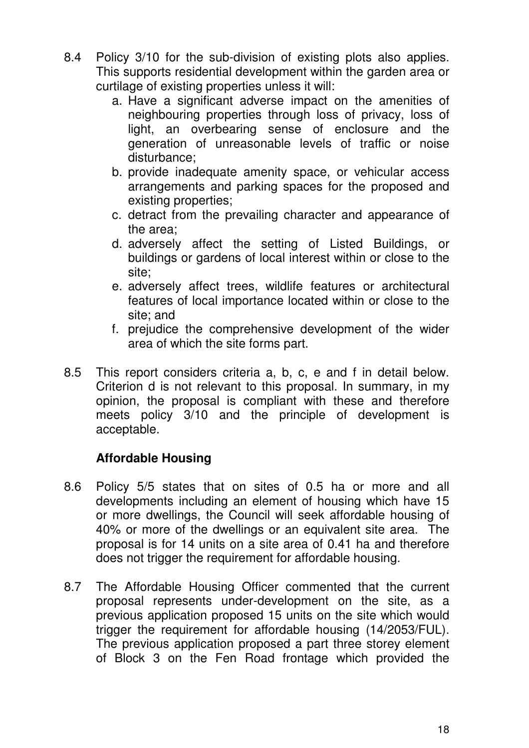- 8.4 Policy 3/10 for the sub-division of existing plots also applies. This supports residential development within the garden area or curtilage of existing properties unless it will:
	- a. Have a significant adverse impact on the amenities of neighbouring properties through loss of privacy, loss of light, an overbearing sense of enclosure and the generation of unreasonable levels of traffic or noise disturbance;
	- b. provide inadequate amenity space, or vehicular access arrangements and parking spaces for the proposed and existing properties;
	- c. detract from the prevailing character and appearance of the area;
	- d. adversely affect the setting of Listed Buildings, or buildings or gardens of local interest within or close to the site;
	- e. adversely affect trees, wildlife features or architectural features of local importance located within or close to the site; and
	- f. prejudice the comprehensive development of the wider area of which the site forms part.
- 8.5 This report considers criteria a, b, c, e and f in detail below. Criterion d is not relevant to this proposal. In summary, in my opinion, the proposal is compliant with these and therefore meets policy 3/10 and the principle of development is acceptable.

# **Affordable Housing**

- 8.6 Policy 5/5 states that on sites of 0.5 ha or more and all developments including an element of housing which have 15 or more dwellings, the Council will seek affordable housing of 40% or more of the dwellings or an equivalent site area. The proposal is for 14 units on a site area of 0.41 ha and therefore does not trigger the requirement for affordable housing.
- 8.7 The Affordable Housing Officer commented that the current proposal represents under-development on the site, as a previous application proposed 15 units on the site which would trigger the requirement for affordable housing (14/2053/FUL). The previous application proposed a part three storey element of Block 3 on the Fen Road frontage which provided the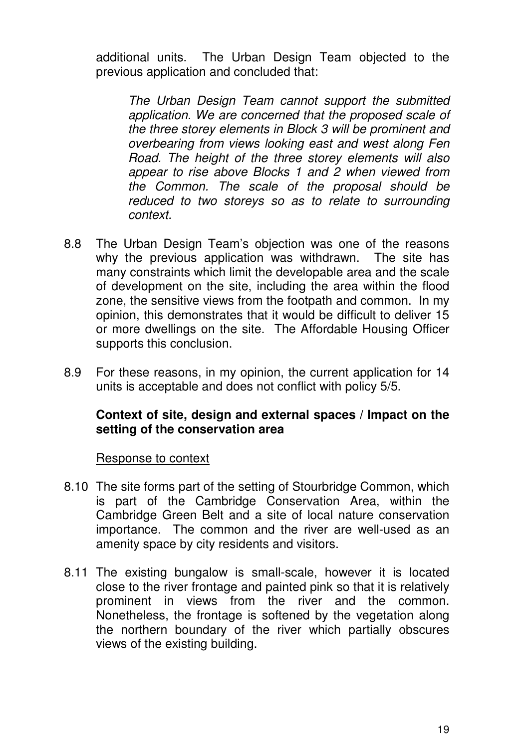additional units. The Urban Design Team objected to the previous application and concluded that:

The Urban Design Team cannot support the submitted application. We are concerned that the proposed scale of the three storey elements in Block 3 will be prominent and overbearing from views looking east and west along Fen Road. The height of the three storey elements will also appear to rise above Blocks 1 and 2 when viewed from the Common. The scale of the proposal should be reduced to two storeys so as to relate to surrounding context.

- 8.8 The Urban Design Team's objection was one of the reasons why the previous application was withdrawn. The site has many constraints which limit the developable area and the scale of development on the site, including the area within the flood zone, the sensitive views from the footpath and common. In my opinion, this demonstrates that it would be difficult to deliver 15 or more dwellings on the site. The Affordable Housing Officer supports this conclusion.
- 8.9 For these reasons, in my opinion, the current application for 14 units is acceptable and does not conflict with policy 5/5.

# **Context of site, design and external spaces / Impact on the setting of the conservation area**

Response to context

- 8.10 The site forms part of the setting of Stourbridge Common, which is part of the Cambridge Conservation Area, within the Cambridge Green Belt and a site of local nature conservation importance. The common and the river are well-used as an amenity space by city residents and visitors.
- 8.11 The existing bungalow is small-scale, however it is located close to the river frontage and painted pink so that it is relatively prominent in views from the river and the common. Nonetheless, the frontage is softened by the vegetation along the northern boundary of the river which partially obscures views of the existing building.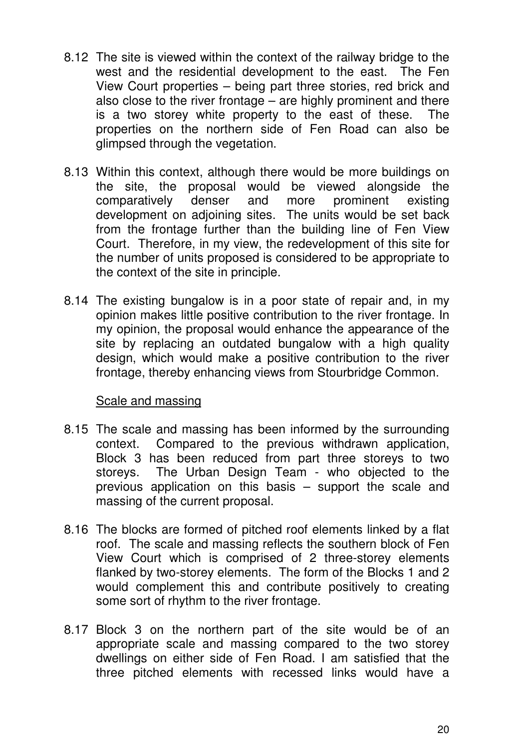- 8.12 The site is viewed within the context of the railway bridge to the west and the residential development to the east. The Fen View Court properties – being part three stories, red brick and also close to the river frontage – are highly prominent and there is a two storey white property to the east of these. The properties on the northern side of Fen Road can also be glimpsed through the vegetation.
- 8.13 Within this context, although there would be more buildings on the site, the proposal would be viewed alongside the comparatively denser and more prominent existing development on adjoining sites. The units would be set back from the frontage further than the building line of Fen View Court. Therefore, in my view, the redevelopment of this site for the number of units proposed is considered to be appropriate to the context of the site in principle.
- 8.14 The existing bungalow is in a poor state of repair and, in my opinion makes little positive contribution to the river frontage. In my opinion, the proposal would enhance the appearance of the site by replacing an outdated bungalow with a high quality design, which would make a positive contribution to the river frontage, thereby enhancing views from Stourbridge Common.

# Scale and massing

- 8.15 The scale and massing has been informed by the surrounding context. Compared to the previous withdrawn application, Block 3 has been reduced from part three storeys to two storeys. The Urban Design Team - who objected to the previous application on this basis – support the scale and massing of the current proposal.
- 8.16 The blocks are formed of pitched roof elements linked by a flat roof. The scale and massing reflects the southern block of Fen View Court which is comprised of 2 three-storey elements flanked by two-storey elements. The form of the Blocks 1 and 2 would complement this and contribute positively to creating some sort of rhythm to the river frontage.
- 8.17 Block 3 on the northern part of the site would be of an appropriate scale and massing compared to the two storey dwellings on either side of Fen Road. I am satisfied that the three pitched elements with recessed links would have a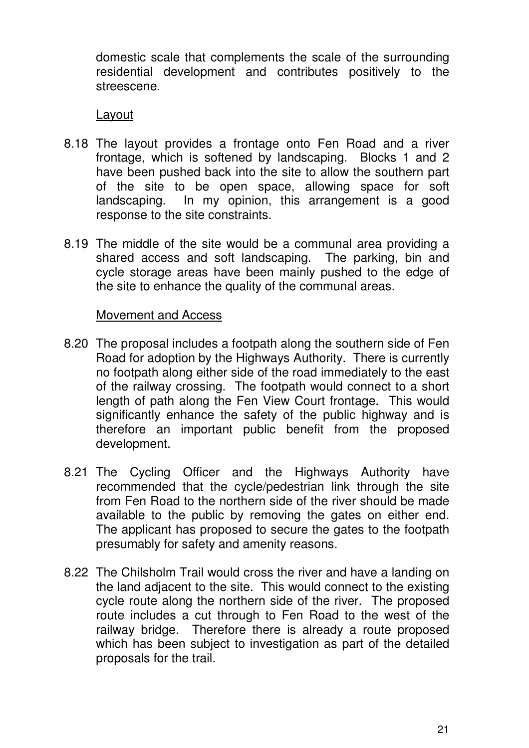domestic scale that complements the scale of the surrounding residential development and contributes positively to the streescene.

#### Layout

- 8.18 The layout provides a frontage onto Fen Road and a river frontage, which is softened by landscaping. Blocks 1 and 2 have been pushed back into the site to allow the southern part of the site to be open space, allowing space for soft landscaping. In my opinion, this arrangement is a good response to the site constraints.
- 8.19 The middle of the site would be a communal area providing a shared access and soft landscaping. The parking, bin and cycle storage areas have been mainly pushed to the edge of the site to enhance the quality of the communal areas.

#### Movement and Access

- 8.20 The proposal includes a footpath along the southern side of Fen Road for adoption by the Highways Authority. There is currently no footpath along either side of the road immediately to the east of the railway crossing. The footpath would connect to a short length of path along the Fen View Court frontage. This would significantly enhance the safety of the public highway and is therefore an important public benefit from the proposed development.
- 8.21 The Cycling Officer and the Highways Authority have recommended that the cycle/pedestrian link through the site from Fen Road to the northern side of the river should be made available to the public by removing the gates on either end. The applicant has proposed to secure the gates to the footpath presumably for safety and amenity reasons.
- 8.22 The Chilsholm Trail would cross the river and have a landing on the land adjacent to the site. This would connect to the existing cycle route along the northern side of the river. The proposed route includes a cut through to Fen Road to the west of the railway bridge. Therefore there is already a route proposed which has been subject to investigation as part of the detailed proposals for the trail.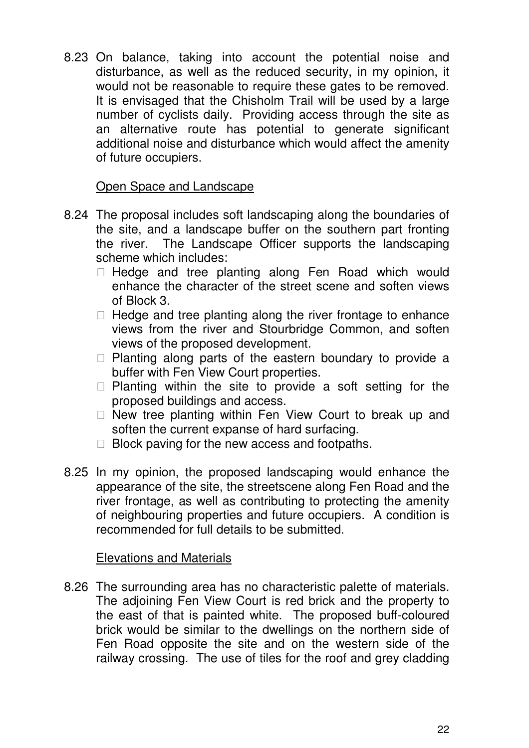8.23 On balance, taking into account the potential noise and disturbance, as well as the reduced security, in my opinion, it would not be reasonable to require these gates to be removed. It is envisaged that the Chisholm Trail will be used by a large number of cyclists daily. Providing access through the site as an alternative route has potential to generate significant additional noise and disturbance which would affect the amenity of future occupiers.

## Open Space and Landscape

8.24 The proposal includes soft landscaping along the boundaries of the site, and a landscape buffer on the southern part fronting the river. The Landscape Officer supports the landscaping scheme which includes:

 Hedge and tree planting along Fen Road which would enhance the character of the street scene and soften views of Block 3.

 Hedge and tree planting along the river frontage to enhance views from the river and Stourbridge Common, and soften views of the proposed development.

 Planting along parts of the eastern boundary to provide a buffer with Fen View Court properties.

 Planting within the site to provide a soft setting for the proposed buildings and access.

 New tree planting within Fen View Court to break up and soften the current expanse of hard surfacing.

Block paving for the new access and footpaths.

8.25 In my opinion, the proposed landscaping would enhance the appearance of the site, the streetscene along Fen Road and the river frontage, as well as contributing to protecting the amenity of neighbouring properties and future occupiers. A condition is recommended for full details to be submitted.

#### Elevations and Materials

8.26 The surrounding area has no characteristic palette of materials. The adjoining Fen View Court is red brick and the property to the east of that is painted white. The proposed buff-coloured brick would be similar to the dwellings on the northern side of Fen Road opposite the site and on the western side of the railway crossing. The use of tiles for the roof and grey cladding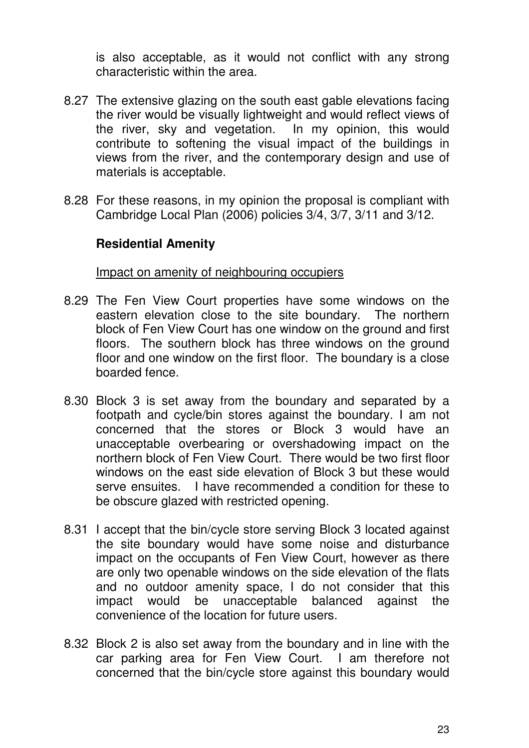is also acceptable, as it would not conflict with any strong characteristic within the area.

- 8.27 The extensive glazing on the south east gable elevations facing the river would be visually lightweight and would reflect views of the river, sky and vegetation. In my opinion, this would contribute to softening the visual impact of the buildings in views from the river, and the contemporary design and use of materials is acceptable.
- 8.28 For these reasons, in my opinion the proposal is compliant with Cambridge Local Plan (2006) policies 3/4, 3/7, 3/11 and 3/12.

# **Residential Amenity**

Impact on amenity of neighbouring occupiers

- 8.29 The Fen View Court properties have some windows on the eastern elevation close to the site boundary. The northern block of Fen View Court has one window on the ground and first floors. The southern block has three windows on the ground floor and one window on the first floor. The boundary is a close boarded fence.
- 8.30 Block 3 is set away from the boundary and separated by a footpath and cycle/bin stores against the boundary. I am not concerned that the stores or Block 3 would have an unacceptable overbearing or overshadowing impact on the northern block of Fen View Court. There would be two first floor windows on the east side elevation of Block 3 but these would serve ensuites. I have recommended a condition for these to be obscure glazed with restricted opening.
- 8.31 I accept that the bin/cycle store serving Block 3 located against the site boundary would have some noise and disturbance impact on the occupants of Fen View Court, however as there are only two openable windows on the side elevation of the flats and no outdoor amenity space, I do not consider that this impact would be unacceptable balanced against the convenience of the location for future users.
- 8.32 Block 2 is also set away from the boundary and in line with the car parking area for Fen View Court. I am therefore not concerned that the bin/cycle store against this boundary would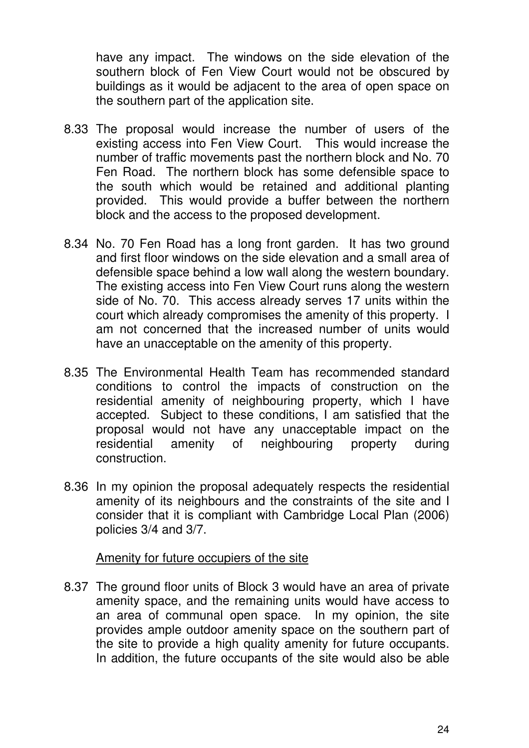have any impact. The windows on the side elevation of the southern block of Fen View Court would not be obscured by buildings as it would be adjacent to the area of open space on the southern part of the application site.

- 8.33 The proposal would increase the number of users of the existing access into Fen View Court. This would increase the number of traffic movements past the northern block and No. 70 Fen Road. The northern block has some defensible space to the south which would be retained and additional planting provided. This would provide a buffer between the northern block and the access to the proposed development.
- 8.34 No. 70 Fen Road has a long front garden. It has two ground and first floor windows on the side elevation and a small area of defensible space behind a low wall along the western boundary. The existing access into Fen View Court runs along the western side of No. 70. This access already serves 17 units within the court which already compromises the amenity of this property. I am not concerned that the increased number of units would have an unacceptable on the amenity of this property.
- 8.35 The Environmental Health Team has recommended standard conditions to control the impacts of construction on the residential amenity of neighbouring property, which I have accepted. Subject to these conditions, I am satisfied that the proposal would not have any unacceptable impact on the residential amenity of neighbouring property during construction.
- 8.36 In my opinion the proposal adequately respects the residential amenity of its neighbours and the constraints of the site and I consider that it is compliant with Cambridge Local Plan (2006) policies 3/4 and 3/7.

#### Amenity for future occupiers of the site

8.37 The ground floor units of Block 3 would have an area of private amenity space, and the remaining units would have access to an area of communal open space. In my opinion, the site provides ample outdoor amenity space on the southern part of the site to provide a high quality amenity for future occupants. In addition, the future occupants of the site would also be able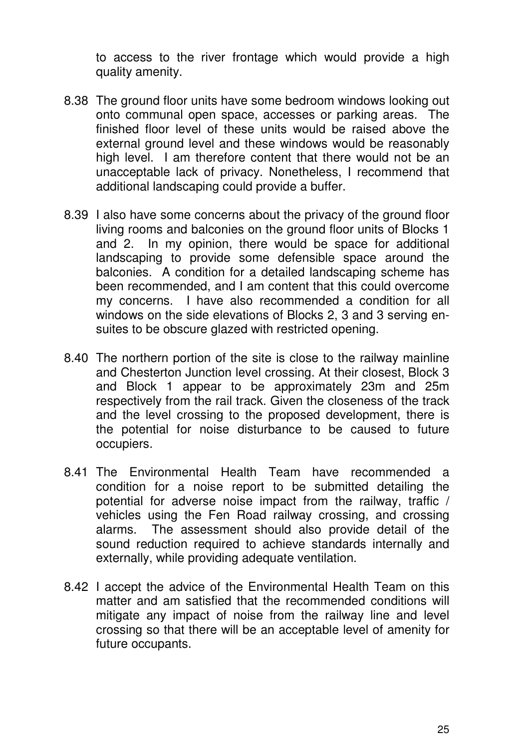to access to the river frontage which would provide a high quality amenity.

- 8.38 The ground floor units have some bedroom windows looking out onto communal open space, accesses or parking areas. The finished floor level of these units would be raised above the external ground level and these windows would be reasonably high level. I am therefore content that there would not be an unacceptable lack of privacy. Nonetheless, I recommend that additional landscaping could provide a buffer.
- 8.39 I also have some concerns about the privacy of the ground floor living rooms and balconies on the ground floor units of Blocks 1 and 2. In my opinion, there would be space for additional landscaping to provide some defensible space around the balconies. A condition for a detailed landscaping scheme has been recommended, and I am content that this could overcome my concerns. I have also recommended a condition for all windows on the side elevations of Blocks 2, 3 and 3 serving ensuites to be obscure glazed with restricted opening.
- 8.40 The northern portion of the site is close to the railway mainline and Chesterton Junction level crossing. At their closest, Block 3 and Block 1 appear to be approximately 23m and 25m respectively from the rail track. Given the closeness of the track and the level crossing to the proposed development, there is the potential for noise disturbance to be caused to future occupiers.
- 8.41 The Environmental Health Team have recommended a condition for a noise report to be submitted detailing the potential for adverse noise impact from the railway, traffic / vehicles using the Fen Road railway crossing, and crossing alarms. The assessment should also provide detail of the sound reduction required to achieve standards internally and externally, while providing adequate ventilation.
- 8.42 I accept the advice of the Environmental Health Team on this matter and am satisfied that the recommended conditions will mitigate any impact of noise from the railway line and level crossing so that there will be an acceptable level of amenity for future occupants.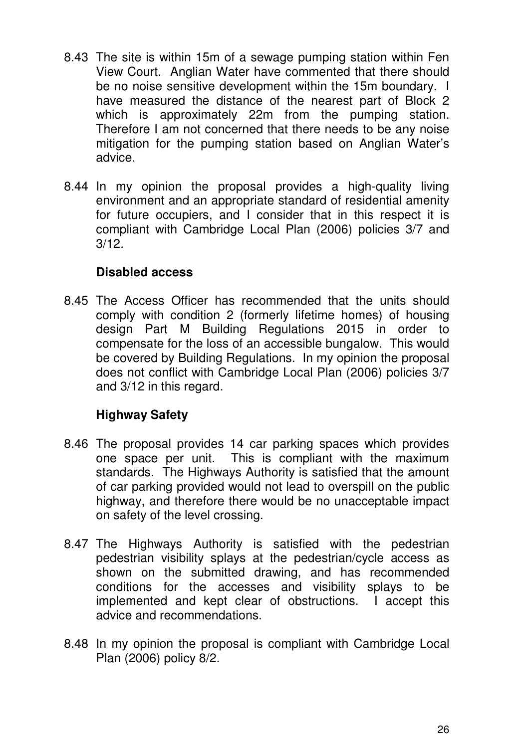- 8.43 The site is within 15m of a sewage pumping station within Fen View Court. Anglian Water have commented that there should be no noise sensitive development within the 15m boundary. I have measured the distance of the nearest part of Block 2 which is approximately 22m from the pumping station. Therefore I am not concerned that there needs to be any noise mitigation for the pumping station based on Anglian Water's advice.
- 8.44 In my opinion the proposal provides a high-quality living environment and an appropriate standard of residential amenity for future occupiers, and I consider that in this respect it is compliant with Cambridge Local Plan (2006) policies 3/7 and 3/12.

# **Disabled access**

8.45 The Access Officer has recommended that the units should comply with condition 2 (formerly lifetime homes) of housing design Part M Building Regulations 2015 in order to compensate for the loss of an accessible bungalow. This would be covered by Building Regulations. In my opinion the proposal does not conflict with Cambridge Local Plan (2006) policies 3/7 and 3/12 in this regard.

# **Highway Safety**

- 8.46 The proposal provides 14 car parking spaces which provides one space per unit. This is compliant with the maximum standards. The Highways Authority is satisfied that the amount of car parking provided would not lead to overspill on the public highway, and therefore there would be no unacceptable impact on safety of the level crossing.
- 8.47 The Highways Authority is satisfied with the pedestrian pedestrian visibility splays at the pedestrian/cycle access as shown on the submitted drawing, and has recommended conditions for the accesses and visibility splays to be implemented and kept clear of obstructions. I accept this advice and recommendations.
- 8.48 In my opinion the proposal is compliant with Cambridge Local Plan (2006) policy 8/2.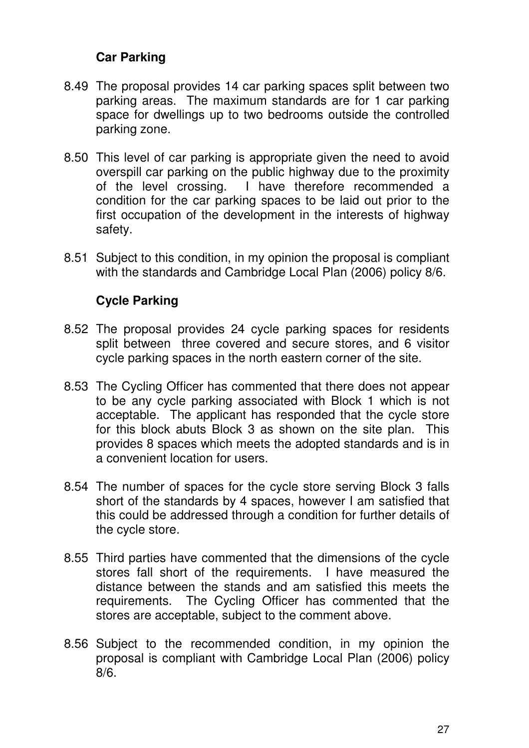# **Car Parking**

- 8.49 The proposal provides 14 car parking spaces split between two parking areas. The maximum standards are for 1 car parking space for dwellings up to two bedrooms outside the controlled parking zone.
- 8.50 This level of car parking is appropriate given the need to avoid overspill car parking on the public highway due to the proximity of the level crossing. I have therefore recommended a condition for the car parking spaces to be laid out prior to the first occupation of the development in the interests of highway safety.
- 8.51 Subject to this condition, in my opinion the proposal is compliant with the standards and Cambridge Local Plan (2006) policy 8/6.

## **Cycle Parking**

- 8.52 The proposal provides 24 cycle parking spaces for residents split between three covered and secure stores, and 6 visitor cycle parking spaces in the north eastern corner of the site.
- 8.53 The Cycling Officer has commented that there does not appear to be any cycle parking associated with Block 1 which is not acceptable. The applicant has responded that the cycle store for this block abuts Block 3 as shown on the site plan. This provides 8 spaces which meets the adopted standards and is in a convenient location for users.
- 8.54 The number of spaces for the cycle store serving Block 3 falls short of the standards by 4 spaces, however I am satisfied that this could be addressed through a condition for further details of the cycle store.
- 8.55 Third parties have commented that the dimensions of the cycle stores fall short of the requirements. I have measured the distance between the stands and am satisfied this meets the requirements. The Cycling Officer has commented that the stores are acceptable, subject to the comment above.
- 8.56 Subject to the recommended condition, in my opinion the proposal is compliant with Cambridge Local Plan (2006) policy 8/6.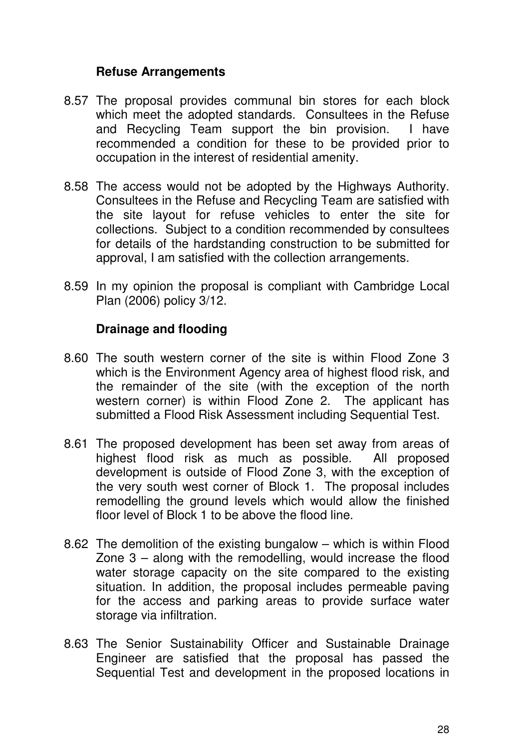## **Refuse Arrangements**

- 8.57 The proposal provides communal bin stores for each block which meet the adopted standards. Consultees in the Refuse and Recycling Team support the bin provision. I have recommended a condition for these to be provided prior to occupation in the interest of residential amenity.
- 8.58 The access would not be adopted by the Highways Authority. Consultees in the Refuse and Recycling Team are satisfied with the site layout for refuse vehicles to enter the site for collections. Subject to a condition recommended by consultees for details of the hardstanding construction to be submitted for approval, I am satisfied with the collection arrangements.
- 8.59 In my opinion the proposal is compliant with Cambridge Local Plan (2006) policy 3/12.

# **Drainage and flooding**

- 8.60 The south western corner of the site is within Flood Zone 3 which is the Environment Agency area of highest flood risk, and the remainder of the site (with the exception of the north western corner) is within Flood Zone 2. The applicant has submitted a Flood Risk Assessment including Sequential Test.
- 8.61 The proposed development has been set away from areas of highest flood risk as much as possible. All proposed development is outside of Flood Zone 3, with the exception of the very south west corner of Block 1. The proposal includes remodelling the ground levels which would allow the finished floor level of Block 1 to be above the flood line.
- 8.62 The demolition of the existing bungalow which is within Flood Zone 3 – along with the remodelling, would increase the flood water storage capacity on the site compared to the existing situation. In addition, the proposal includes permeable paving for the access and parking areas to provide surface water storage via infiltration.
- 8.63 The Senior Sustainability Officer and Sustainable Drainage Engineer are satisfied that the proposal has passed the Sequential Test and development in the proposed locations in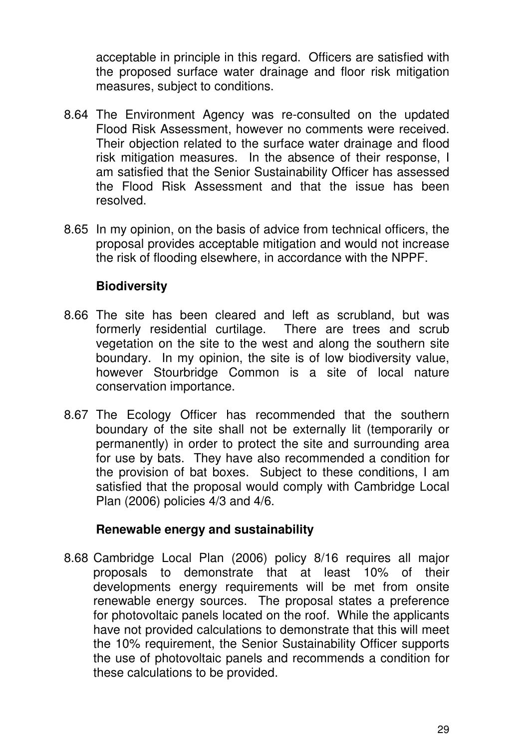acceptable in principle in this regard. Officers are satisfied with the proposed surface water drainage and floor risk mitigation measures, subject to conditions.

- 8.64 The Environment Agency was re-consulted on the updated Flood Risk Assessment, however no comments were received. Their objection related to the surface water drainage and flood risk mitigation measures. In the absence of their response, I am satisfied that the Senior Sustainability Officer has assessed the Flood Risk Assessment and that the issue has been resolved.
- 8.65 In my opinion, on the basis of advice from technical officers, the proposal provides acceptable mitigation and would not increase the risk of flooding elsewhere, in accordance with the NPPF.

# **Biodiversity**

- 8.66 The site has been cleared and left as scrubland, but was formerly residential curtilage. There are trees and scrub vegetation on the site to the west and along the southern site boundary. In my opinion, the site is of low biodiversity value, however Stourbridge Common is a site of local nature conservation importance.
- 8.67 The Ecology Officer has recommended that the southern boundary of the site shall not be externally lit (temporarily or permanently) in order to protect the site and surrounding area for use by bats. They have also recommended a condition for the provision of bat boxes. Subject to these conditions, I am satisfied that the proposal would comply with Cambridge Local Plan (2006) policies 4/3 and 4/6.

# **Renewable energy and sustainability**

8.68 Cambridge Local Plan (2006) policy 8/16 requires all major proposals to demonstrate that at least 10% of their developments energy requirements will be met from onsite renewable energy sources. The proposal states a preference for photovoltaic panels located on the roof. While the applicants have not provided calculations to demonstrate that this will meet the 10% requirement, the Senior Sustainability Officer supports the use of photovoltaic panels and recommends a condition for these calculations to be provided.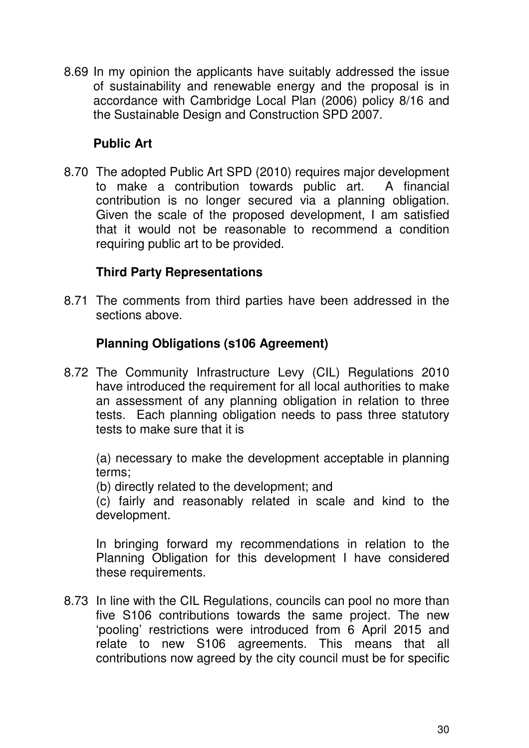8.69 In my opinion the applicants have suitably addressed the issue of sustainability and renewable energy and the proposal is in accordance with Cambridge Local Plan (2006) policy 8/16 and the Sustainable Design and Construction SPD 2007.

# **Public Art**

8.70 The adopted Public Art SPD (2010) requires major development to make a contribution towards public art. A financial contribution is no longer secured via a planning obligation. Given the scale of the proposed development, I am satisfied that it would not be reasonable to recommend a condition requiring public art to be provided.

# **Third Party Representations**

8.71 The comments from third parties have been addressed in the sections above.

# **Planning Obligations (s106 Agreement)**

8.72 The Community Infrastructure Levy (CIL) Regulations 2010 have introduced the requirement for all local authorities to make an assessment of any planning obligation in relation to three tests. Each planning obligation needs to pass three statutory tests to make sure that it is

(a) necessary to make the development acceptable in planning terms;

(b) directly related to the development; and

(c) fairly and reasonably related in scale and kind to the development.

In bringing forward my recommendations in relation to the Planning Obligation for this development I have considered these requirements.

8.73 In line with the CIL Regulations, councils can pool no more than five S106 contributions towards the same project. The new 'pooling' restrictions were introduced from 6 April 2015 and relate to new S106 agreements. This means that all contributions now agreed by the city council must be for specific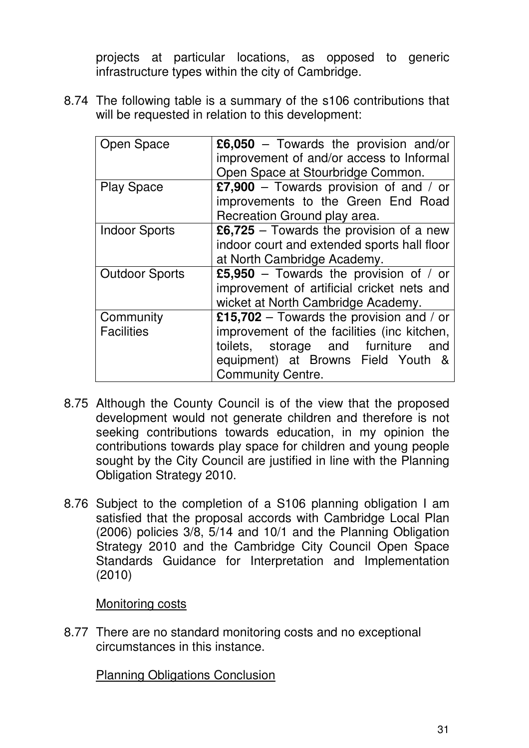projects at particular locations, as opposed to generic infrastructure types within the city of Cambridge.

8.74 The following table is a summary of the s106 contributions that will be requested in relation to this development:

| Open Space                     | $\pmb{\mathfrak{L}}$ 6,050 – Towards the provision and/or<br>improvement of and/or access to Informal<br>Open Space at Stourbridge Common.                                                         |
|--------------------------------|----------------------------------------------------------------------------------------------------------------------------------------------------------------------------------------------------|
| <b>Play Space</b>              | £7,900 – Towards provision of and / or<br>improvements to the Green End Road<br>Recreation Ground play area.                                                                                       |
| <b>Indoor Sports</b>           | £6,725 – Towards the provision of a new<br>indoor court and extended sports hall floor<br>at North Cambridge Academy.                                                                              |
| <b>Outdoor Sports</b>          | £5,950 – Towards the provision of / or<br>improvement of artificial cricket nets and<br>wicket at North Cambridge Academy.                                                                         |
| Community<br><b>Facilities</b> | £15,702 – Towards the provision and / or<br>improvement of the facilities (inc kitchen,<br>toilets, storage and furniture<br>and<br>equipment) at Browns Field Youth &<br><b>Community Centre.</b> |

- 8.75 Although the County Council is of the view that the proposed development would not generate children and therefore is not seeking contributions towards education, in my opinion the contributions towards play space for children and young people sought by the City Council are justified in line with the Planning Obligation Strategy 2010.
- 8.76 Subject to the completion of a S106 planning obligation I am satisfied that the proposal accords with Cambridge Local Plan (2006) policies 3/8, 5/14 and 10/1 and the Planning Obligation Strategy 2010 and the Cambridge City Council Open Space Standards Guidance for Interpretation and Implementation (2010)

Monitoring costs

8.77 There are no standard monitoring costs and no exceptional circumstances in this instance.

Planning Obligations Conclusion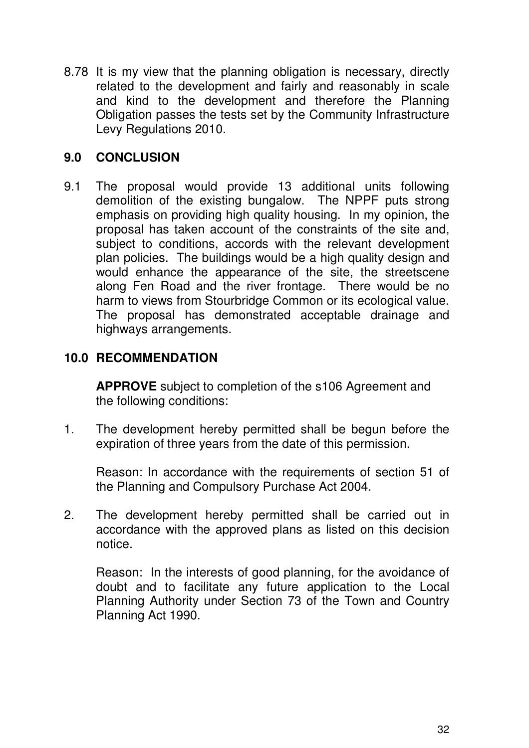8.78 It is my view that the planning obligation is necessary, directly related to the development and fairly and reasonably in scale and kind to the development and therefore the Planning Obligation passes the tests set by the Community Infrastructure Levy Regulations 2010.

# **9.0 CONCLUSION**

9.1 The proposal would provide 13 additional units following demolition of the existing bungalow. The NPPF puts strong emphasis on providing high quality housing. In my opinion, the proposal has taken account of the constraints of the site and, subject to conditions, accords with the relevant development plan policies. The buildings would be a high quality design and would enhance the appearance of the site, the streetscene along Fen Road and the river frontage. There would be no harm to views from Stourbridge Common or its ecological value. The proposal has demonstrated acceptable drainage and highways arrangements.

# **10.0 RECOMMENDATION**

**APPROVE** subject to completion of the s106 Agreement and the following conditions:

1. The development hereby permitted shall be begun before the expiration of three years from the date of this permission.

 Reason: In accordance with the requirements of section 51 of the Planning and Compulsory Purchase Act 2004.

2. The development hereby permitted shall be carried out in accordance with the approved plans as listed on this decision notice.

 Reason: In the interests of good planning, for the avoidance of doubt and to facilitate any future application to the Local Planning Authority under Section 73 of the Town and Country Planning Act 1990.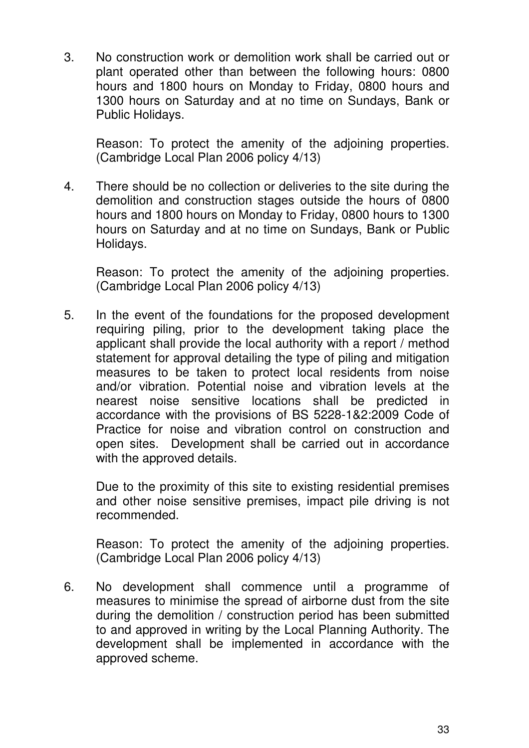3. No construction work or demolition work shall be carried out or plant operated other than between the following hours: 0800 hours and 1800 hours on Monday to Friday, 0800 hours and 1300 hours on Saturday and at no time on Sundays, Bank or Public Holidays.

 Reason: To protect the amenity of the adjoining properties. (Cambridge Local Plan 2006 policy 4/13)

4. There should be no collection or deliveries to the site during the demolition and construction stages outside the hours of 0800 hours and 1800 hours on Monday to Friday, 0800 hours to 1300 hours on Saturday and at no time on Sundays, Bank or Public Holidays.

 Reason: To protect the amenity of the adjoining properties. (Cambridge Local Plan 2006 policy 4/13)

5. In the event of the foundations for the proposed development requiring piling, prior to the development taking place the applicant shall provide the local authority with a report / method statement for approval detailing the type of piling and mitigation measures to be taken to protect local residents from noise and/or vibration. Potential noise and vibration levels at the nearest noise sensitive locations shall be predicted in accordance with the provisions of BS 5228-1&2:2009 Code of Practice for noise and vibration control on construction and open sites. Development shall be carried out in accordance with the approved details.

 Due to the proximity of this site to existing residential premises and other noise sensitive premises, impact pile driving is not recommended.

 Reason: To protect the amenity of the adjoining properties. (Cambridge Local Plan 2006 policy 4/13)

6. No development shall commence until a programme of measures to minimise the spread of airborne dust from the site during the demolition / construction period has been submitted to and approved in writing by the Local Planning Authority. The development shall be implemented in accordance with the approved scheme.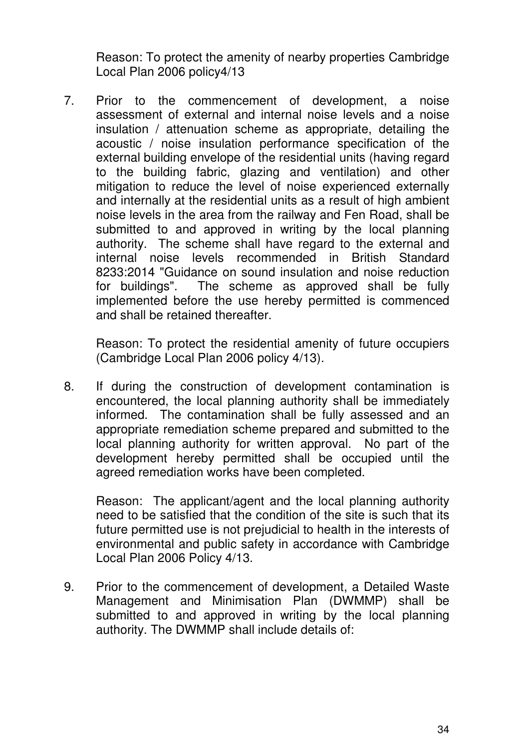Reason: To protect the amenity of nearby properties Cambridge Local Plan 2006 policy4/13

7. Prior to the commencement of development, a noise assessment of external and internal noise levels and a noise insulation / attenuation scheme as appropriate, detailing the acoustic / noise insulation performance specification of the external building envelope of the residential units (having regard to the building fabric, glazing and ventilation) and other mitigation to reduce the level of noise experienced externally and internally at the residential units as a result of high ambient noise levels in the area from the railway and Fen Road, shall be submitted to and approved in writing by the local planning authority. The scheme shall have regard to the external and internal noise levels recommended in British Standard 8233:2014 "Guidance on sound insulation and noise reduction for buildings". The scheme as approved shall be fully implemented before the use hereby permitted is commenced and shall be retained thereafter.

 Reason: To protect the residential amenity of future occupiers (Cambridge Local Plan 2006 policy 4/13).

8. If during the construction of development contamination is encountered, the local planning authority shall be immediately informed. The contamination shall be fully assessed and an appropriate remediation scheme prepared and submitted to the local planning authority for written approval. No part of the development hereby permitted shall be occupied until the agreed remediation works have been completed.

 Reason: The applicant/agent and the local planning authority need to be satisfied that the condition of the site is such that its future permitted use is not prejudicial to health in the interests of environmental and public safety in accordance with Cambridge Local Plan 2006 Policy 4/13.

9. Prior to the commencement of development, a Detailed Waste Management and Minimisation Plan (DWMMP) shall be submitted to and approved in writing by the local planning authority. The DWMMP shall include details of: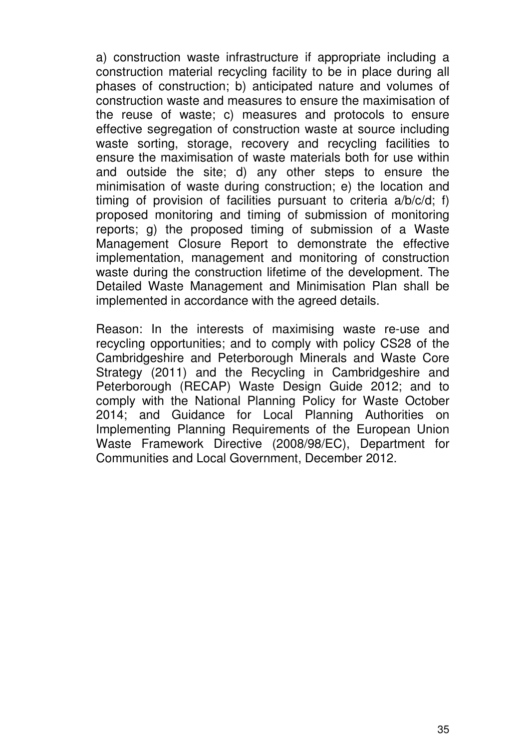a) construction waste infrastructure if appropriate including a construction material recycling facility to be in place during all phases of construction; b) anticipated nature and volumes of construction waste and measures to ensure the maximisation of the reuse of waste; c) measures and protocols to ensure effective segregation of construction waste at source including waste sorting, storage, recovery and recycling facilities to ensure the maximisation of waste materials both for use within and outside the site; d) any other steps to ensure the minimisation of waste during construction; e) the location and timing of provision of facilities pursuant to criteria a/b/c/d; f) proposed monitoring and timing of submission of monitoring reports; g) the proposed timing of submission of a Waste Management Closure Report to demonstrate the effective implementation, management and monitoring of construction waste during the construction lifetime of the development. The Detailed Waste Management and Minimisation Plan shall be implemented in accordance with the agreed details.

 Reason: In the interests of maximising waste re-use and recycling opportunities; and to comply with policy CS28 of the Cambridgeshire and Peterborough Minerals and Waste Core Strategy (2011) and the Recycling in Cambridgeshire and Peterborough (RECAP) Waste Design Guide 2012; and to comply with the National Planning Policy for Waste October 2014; and Guidance for Local Planning Authorities on Implementing Planning Requirements of the European Union Waste Framework Directive (2008/98/EC), Department for Communities and Local Government, December 2012.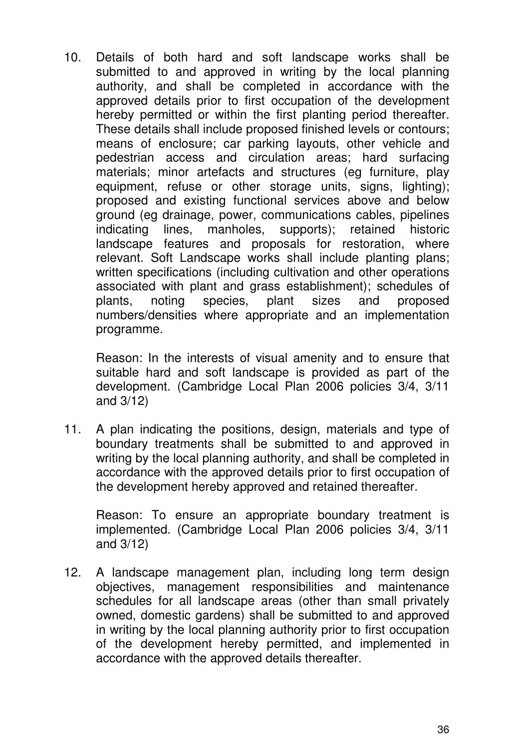10. Details of both hard and soft landscape works shall be submitted to and approved in writing by the local planning authority, and shall be completed in accordance with the approved details prior to first occupation of the development hereby permitted or within the first planting period thereafter. These details shall include proposed finished levels or contours; means of enclosure; car parking layouts, other vehicle and pedestrian access and circulation areas; hard surfacing materials; minor artefacts and structures (eg furniture, play equipment, refuse or other storage units, signs, lighting); proposed and existing functional services above and below ground (eg drainage, power, communications cables, pipelines indicating lines, manholes, supports); retained historic landscape features and proposals for restoration, where relevant. Soft Landscape works shall include planting plans; written specifications (including cultivation and other operations associated with plant and grass establishment); schedules of plants, noting species, plant sizes and proposed numbers/densities where appropriate and an implementation programme.

 Reason: In the interests of visual amenity and to ensure that suitable hard and soft landscape is provided as part of the development. (Cambridge Local Plan 2006 policies 3/4, 3/11 and 3/12)

11. A plan indicating the positions, design, materials and type of boundary treatments shall be submitted to and approved in writing by the local planning authority, and shall be completed in accordance with the approved details prior to first occupation of the development hereby approved and retained thereafter.

 Reason: To ensure an appropriate boundary treatment is implemented. (Cambridge Local Plan 2006 policies 3/4, 3/11 and 3/12)

12. A landscape management plan, including long term design objectives, management responsibilities and maintenance schedules for all landscape areas (other than small privately owned, domestic gardens) shall be submitted to and approved in writing by the local planning authority prior to first occupation of the development hereby permitted, and implemented in accordance with the approved details thereafter.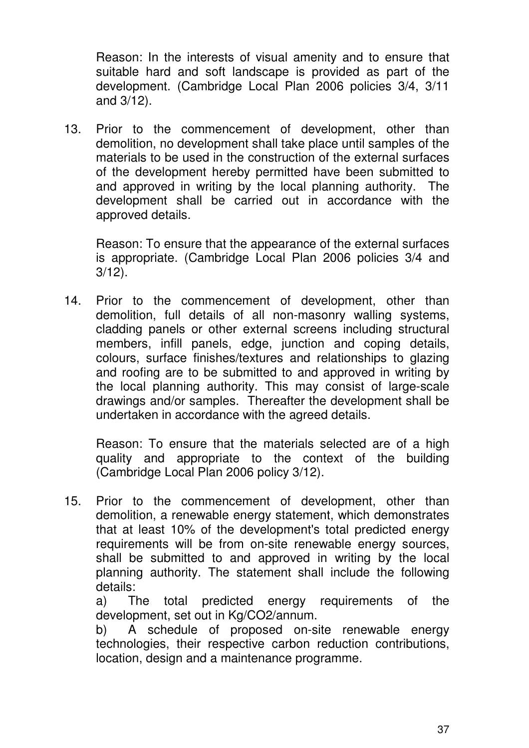Reason: In the interests of visual amenity and to ensure that suitable hard and soft landscape is provided as part of the development. (Cambridge Local Plan 2006 policies 3/4, 3/11 and 3/12).

13. Prior to the commencement of development, other than demolition, no development shall take place until samples of the materials to be used in the construction of the external surfaces of the development hereby permitted have been submitted to and approved in writing by the local planning authority. The development shall be carried out in accordance with the approved details.

 Reason: To ensure that the appearance of the external surfaces is appropriate. (Cambridge Local Plan 2006 policies 3/4 and 3/12).

14. Prior to the commencement of development, other than demolition, full details of all non-masonry walling systems, cladding panels or other external screens including structural members, infill panels, edge, junction and coping details, colours, surface finishes/textures and relationships to glazing and roofing are to be submitted to and approved in writing by the local planning authority. This may consist of large-scale drawings and/or samples. Thereafter the development shall be undertaken in accordance with the agreed details.

 Reason: To ensure that the materials selected are of a high quality and appropriate to the context of the building (Cambridge Local Plan 2006 policy 3/12).

15. Prior to the commencement of development, other than demolition, a renewable energy statement, which demonstrates that at least 10% of the development's total predicted energy requirements will be from on-site renewable energy sources, shall be submitted to and approved in writing by the local planning authority. The statement shall include the following details:

 a) The total predicted energy requirements of the development, set out in Kg/CO2/annum.

 b) A schedule of proposed on-site renewable energy technologies, their respective carbon reduction contributions, location, design and a maintenance programme.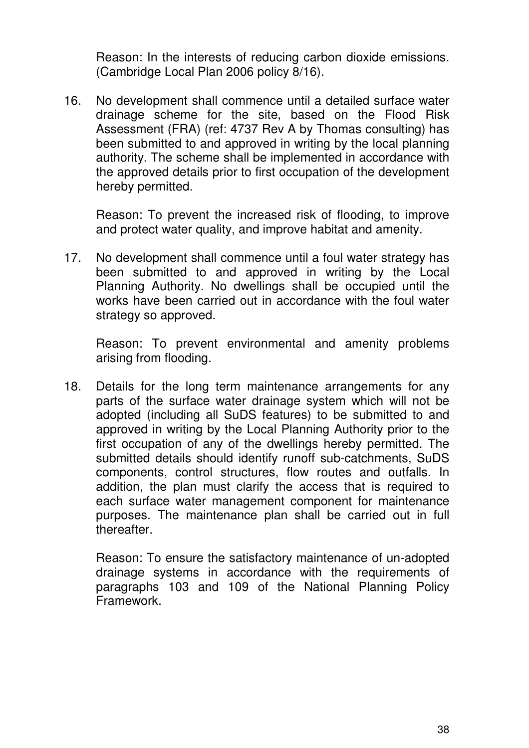Reason: In the interests of reducing carbon dioxide emissions. (Cambridge Local Plan 2006 policy 8/16).

16. No development shall commence until a detailed surface water drainage scheme for the site, based on the Flood Risk Assessment (FRA) (ref: 4737 Rev A by Thomas consulting) has been submitted to and approved in writing by the local planning authority. The scheme shall be implemented in accordance with the approved details prior to first occupation of the development hereby permitted.

 Reason: To prevent the increased risk of flooding, to improve and protect water quality, and improve habitat and amenity.

17. No development shall commence until a foul water strategy has been submitted to and approved in writing by the Local Planning Authority. No dwellings shall be occupied until the works have been carried out in accordance with the foul water strategy so approved.

 Reason: To prevent environmental and amenity problems arising from flooding.

18. Details for the long term maintenance arrangements for any parts of the surface water drainage system which will not be adopted (including all SuDS features) to be submitted to and approved in writing by the Local Planning Authority prior to the first occupation of any of the dwellings hereby permitted. The submitted details should identify runoff sub-catchments, SuDS components, control structures, flow routes and outfalls. In addition, the plan must clarify the access that is required to each surface water management component for maintenance purposes. The maintenance plan shall be carried out in full thereafter.

 Reason: To ensure the satisfactory maintenance of un-adopted drainage systems in accordance with the requirements of paragraphs 103 and 109 of the National Planning Policy Framework.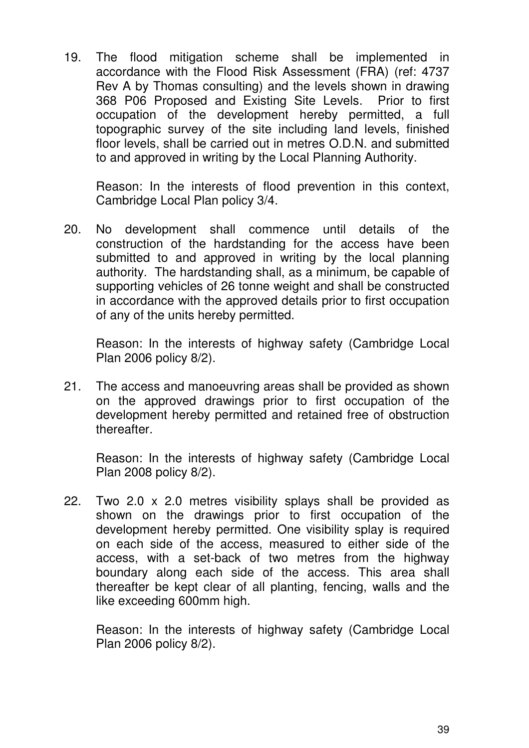19. The flood mitigation scheme shall be implemented in accordance with the Flood Risk Assessment (FRA) (ref: 4737 Rev A by Thomas consulting) and the levels shown in drawing 368 P06 Proposed and Existing Site Levels. Prior to first occupation of the development hereby permitted, a full topographic survey of the site including land levels, finished floor levels, shall be carried out in metres O.D.N. and submitted to and approved in writing by the Local Planning Authority.

 Reason: In the interests of flood prevention in this context, Cambridge Local Plan policy 3/4.

20. No development shall commence until details of the construction of the hardstanding for the access have been submitted to and approved in writing by the local planning authority. The hardstanding shall, as a minimum, be capable of supporting vehicles of 26 tonne weight and shall be constructed in accordance with the approved details prior to first occupation of any of the units hereby permitted.

 Reason: In the interests of highway safety (Cambridge Local Plan 2006 policy 8/2).

21. The access and manoeuvring areas shall be provided as shown on the approved drawings prior to first occupation of the development hereby permitted and retained free of obstruction thereafter.

 Reason: In the interests of highway safety (Cambridge Local Plan 2008 policy 8/2).

22. Two 2.0 x 2.0 metres visibility splays shall be provided as shown on the drawings prior to first occupation of the development hereby permitted. One visibility splay is required on each side of the access, measured to either side of the access, with a set-back of two metres from the highway boundary along each side of the access. This area shall thereafter be kept clear of all planting, fencing, walls and the like exceeding 600mm high.

 Reason: In the interests of highway safety (Cambridge Local Plan 2006 policy 8/2).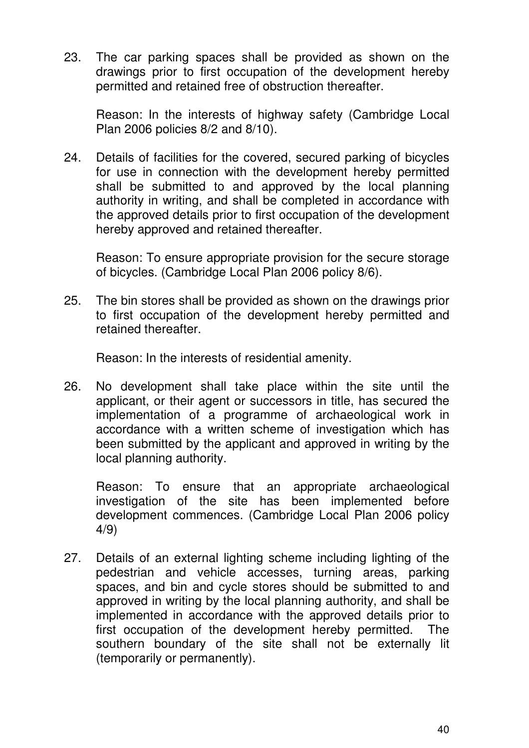23. The car parking spaces shall be provided as shown on the drawings prior to first occupation of the development hereby permitted and retained free of obstruction thereafter.

 Reason: In the interests of highway safety (Cambridge Local Plan 2006 policies 8/2 and 8/10).

24. Details of facilities for the covered, secured parking of bicycles for use in connection with the development hereby permitted shall be submitted to and approved by the local planning authority in writing, and shall be completed in accordance with the approved details prior to first occupation of the development hereby approved and retained thereafter.

 Reason: To ensure appropriate provision for the secure storage of bicycles. (Cambridge Local Plan 2006 policy 8/6).

25. The bin stores shall be provided as shown on the drawings prior to first occupation of the development hereby permitted and retained thereafter.

Reason: In the interests of residential amenity.

26. No development shall take place within the site until the applicant, or their agent or successors in title, has secured the implementation of a programme of archaeological work in accordance with a written scheme of investigation which has been submitted by the applicant and approved in writing by the local planning authority.

 Reason: To ensure that an appropriate archaeological investigation of the site has been implemented before development commences. (Cambridge Local Plan 2006 policy 4/9)

27. Details of an external lighting scheme including lighting of the pedestrian and vehicle accesses, turning areas, parking spaces, and bin and cycle stores should be submitted to and approved in writing by the local planning authority, and shall be implemented in accordance with the approved details prior to first occupation of the development hereby permitted. The southern boundary of the site shall not be externally lit (temporarily or permanently).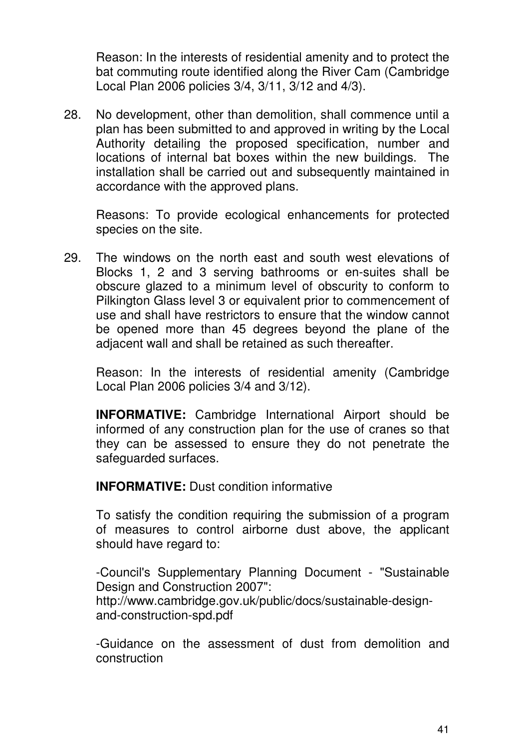Reason: In the interests of residential amenity and to protect the bat commuting route identified along the River Cam (Cambridge Local Plan 2006 policies 3/4, 3/11, 3/12 and 4/3).

28. No development, other than demolition, shall commence until a plan has been submitted to and approved in writing by the Local Authority detailing the proposed specification, number and locations of internal bat boxes within the new buildings. The installation shall be carried out and subsequently maintained in accordance with the approved plans.

 Reasons: To provide ecological enhancements for protected species on the site.

29. The windows on the north east and south west elevations of Blocks 1, 2 and 3 serving bathrooms or en-suites shall be obscure glazed to a minimum level of obscurity to conform to Pilkington Glass level 3 or equivalent prior to commencement of use and shall have restrictors to ensure that the window cannot be opened more than 45 degrees beyond the plane of the adjacent wall and shall be retained as such thereafter.

 Reason: In the interests of residential amenity (Cambridge Local Plan 2006 policies 3/4 and 3/12).

**INFORMATIVE:** Cambridge International Airport should be informed of any construction plan for the use of cranes so that they can be assessed to ensure they do not penetrate the safeguarded surfaces.

**INFORMATIVE:** Dust condition informative

 To satisfy the condition requiring the submission of a program of measures to control airborne dust above, the applicant should have regard to:

 -Council's Supplementary Planning Document - "Sustainable Design and Construction 2007": http://www.cambridge.gov.uk/public/docs/sustainable-designand-construction-spd.pdf

 -Guidance on the assessment of dust from demolition and construction